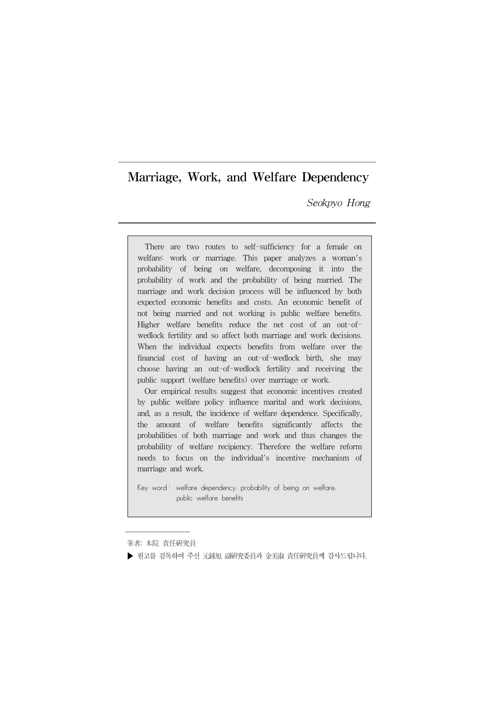Seokpyo Hong

There are two routes to self-sufficiency for a female on welfare: work or marriage. This paper analyzes a woman's probability of being on welfare, decomposing it into the probability of work and the probability of being married. The marriage and work decision process will be influenced by both expected economic benefits and costs. An economic benefit of not being married and not working is public welfare benefits. Higher welfare benefits reduce the net cost of an out-ofwedlock fertility and so affect both marriage and work decisions. When the individual expects benefits from welfare over the financial cost of having an out-of-wedlock birth, she may choose having an out-of-wedlock fertility and receiving the public support (welfare benefits) over marriage or work.

Our empirical results suggest that economic incentives created by public welfare policy influence marital and work decisions, and, as a result, the incidence of welfare dependence. Specifically, the amount of welfare benefits significantly affects the probabilities of both marriage and work and thus changes the probability of welfare recipiency. Therefore the welfare reform needs to focus on the individual's incentive mechanism of marriage and work.

Key word: welfare dependency, probability of being on welfare, public welfare benefits

 $\overline{\phantom{a}}$  , where  $\overline{\phantom{a}}$ 筆者: 本院 責任硏究員

▶ 워고를 검독하여 주신 元鍾旭 副硏究委員과 金美淑 責任硏究員께 감사드립니다.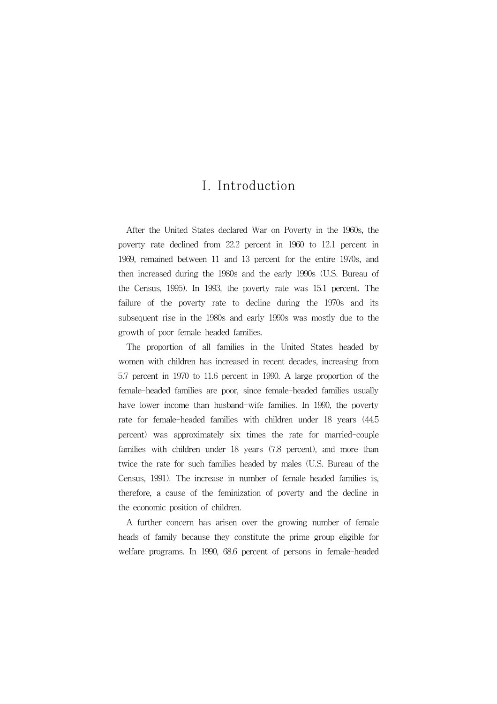# I. Introduction

After the United States declared War on Poverty in the 1960s, the poverty rate declined from 22.2 percent in 1960 to 12.1 percent in 1969, remained between 11 and 13 percent for the entire 1970s, and then increased during the 1980s and the early 1990s (U.S. Bureau of the Census, 1995). In 1993, the poverty rate was 15.1 percent. The failure of the poverty rate to decline during the 1970s and its subsequent rise in the 1980s and early 1990s was mostly due to the growth of poor female-headed families.

The proportion of all families in the United States headed by women with children has increased in recent decades, increasing from 5.7 percent in 1970 to 11.6 percent in 1990. A large proportion of the female-headed families are poor, since female-headed families usually have lower income than husband-wife families. In 1990, the poverty rate for female-headed families with children under 18 years (44.5 percent) was approximately six times the rate for married-couple families with children under 18 years (7.8 percent), and more than twice the rate for such families headed by males (U.S. Bureau of the Census, 1991). The increase in number of female-headed families is, therefore, a cause of the feminization of poverty and the decline in the economic position of children.

A further concern has arisen over the growing number of female heads of family because they constitute the prime group eligible for welfare programs. In 1990, 68.6 percent of persons in female-headed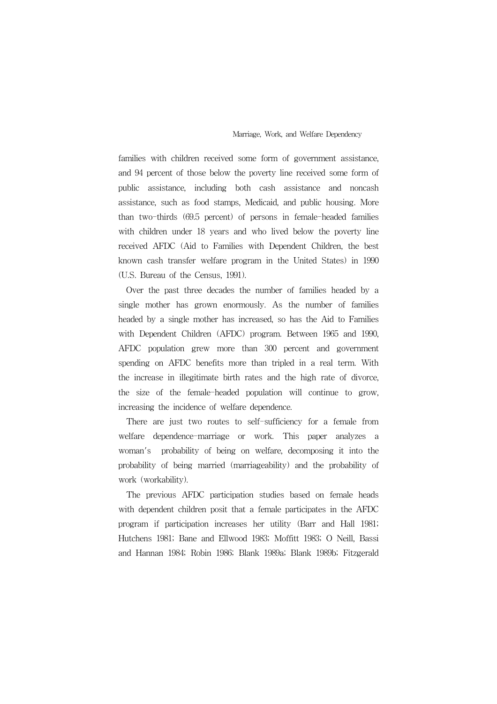families with children received some form of government assistance, and 94 percent of those below the poverty line received some form of public assistance, including both cash assistance and noncash assistance, such as food stamps, Medicaid, and public housing. More than two-thirds (69.5 percent) of persons in female-headed families with children under 18 years and who lived below the poverty line received AFDC (Aid to Families with Dependent Children, the best known cash transfer welfare program in the United States) in 1990 (U.S. Bureau of the Census, 1991).

Over the past three decades the number of families headed by a single mother has grown enormously. As the number of families headed by a single mother has increased, so has the Aid to Families with Dependent Children (AFDC) program. Between 1965 and 1990, AFDC population grew more than 300 percent and government spending on AFDC benefits more than tripled in a real term. With the increase in illegitimate birth rates and the high rate of divorce, the size of the female-headed population will continue to grow, increasing the incidence of welfare dependence.

There are just two routes to self-sufficiency for a female from welfare dependence-marriage or work. This paper analyzes a woman's probability of being on welfare, decomposing it into the probability of being married (marriageability) and the probability of work (workability).

The previous AFDC participation studies based on female heads with dependent children posit that a female participates in the AFDC program if participation increases her utility (Barr and Hall 1981; Hutchens 1981; Bane and Ellwood 1983; Moffitt 1983; O Neill, Bassi and Hannan 1984; Robin 1986; Blank 1989a; Blank 1989b; Fitzgerald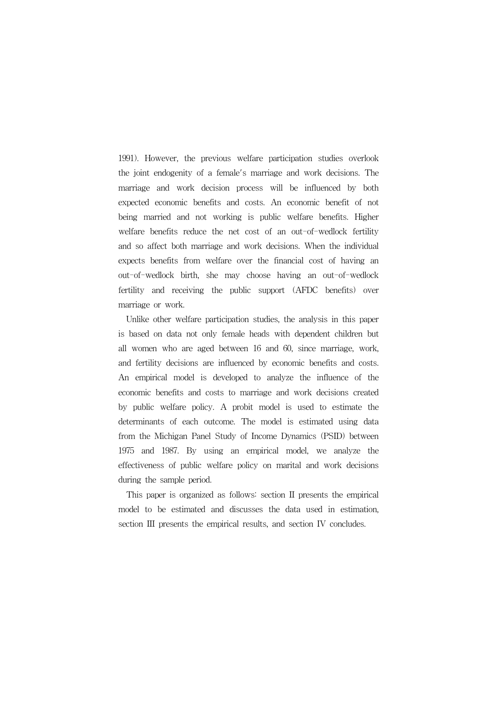1991). However, the previous welfare participation studies overlook the joint endogenity of a female's marriage and work decisions. The marriage and work decision process will be influenced by both expected economic benefits and costs. An economic benefit of not being married and not working is public welfare benefits. Higher welfare benefits reduce the net cost of an out-of-wedlock fertility and so affect both marriage and work decisions. When the individual expects benefits from welfare over the financial cost of having an out-of-wedlock birth, she may choose having an out-of-wedlock fertility and receiving the public support (AFDC benefits) over marriage or work.

Unlike other welfare participation studies, the analysis in this paper is based on data not only female heads with dependent children but all women who are aged between 16 and 60, since marriage, work, and fertility decisions are influenced by economic benefits and costs. An empirical model is developed to analyze the influence of the economic benefits and costs to marriage and work decisions created by public welfare policy. A probit model is used to estimate the determinants of each outcome. The model is estimated using data from the Michigan Panel Study of Income Dynamics (PSID) between 1975 and 1987. By using an empirical model, we analyze the effectiveness of public welfare policy on marital and work decisions during the sample period.

This paper is organized as follows: section II presents the empirical model to be estimated and discusses the data used in estimation, section III presents the empirical results, and section IV concludes.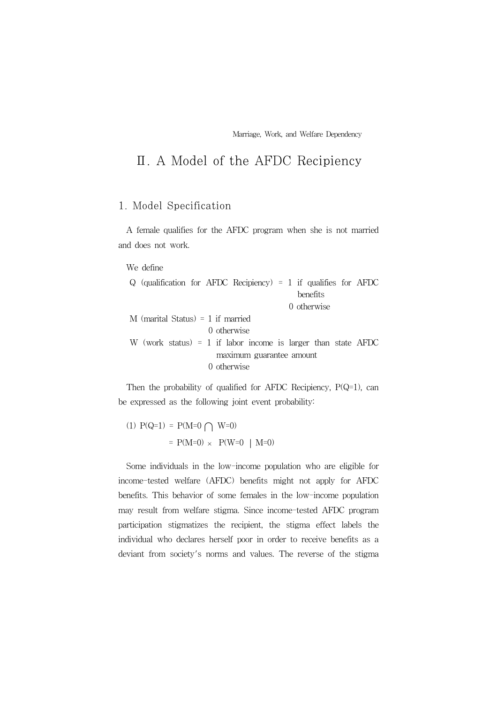# Ⅱ. A Model of the AFDC Recipiency

## 1. Model Specification

A female qualifies for the AFDC program when she is not married and does not work.

#### We define

| Q (qualification for AFDC Recipiency) = 1 if qualifies for AFDC |             |                          |  |             |  |
|-----------------------------------------------------------------|-------------|--------------------------|--|-------------|--|
|                                                                 |             |                          |  | benefits    |  |
|                                                                 |             |                          |  | 0 otherwise |  |
| M (marital Status) = $1$ if married                             |             |                          |  |             |  |
|                                                                 | 0 otherwise |                          |  |             |  |
| W (work status) = 1 if labor income is larger than state AFDC   |             |                          |  |             |  |
|                                                                 |             | maximum guarantee amount |  |             |  |
|                                                                 | 0 otherwise |                          |  |             |  |

Then the probability of qualified for AFDC Recipiency,  $P(Q=1)$ , can be expressed as the following joint event probability:

(1) 
$$
P(Q=1) = P(M=0) \cap W=0
$$
  
=  $P(M=0) \times P(W=0 | M=0)$ 

Some individuals in the low-income population who are eligible for income-tested welfare (AFDC) benefits might not apply for AFDC benefits. This behavior of some females in the low-income population may result from welfare stigma. Since income-tested AFDC program participation stigmatizes the recipient, the stigma effect labels the individual who declares herself poor in order to receive benefits as a deviant from society's norms and values. The reverse of the stigma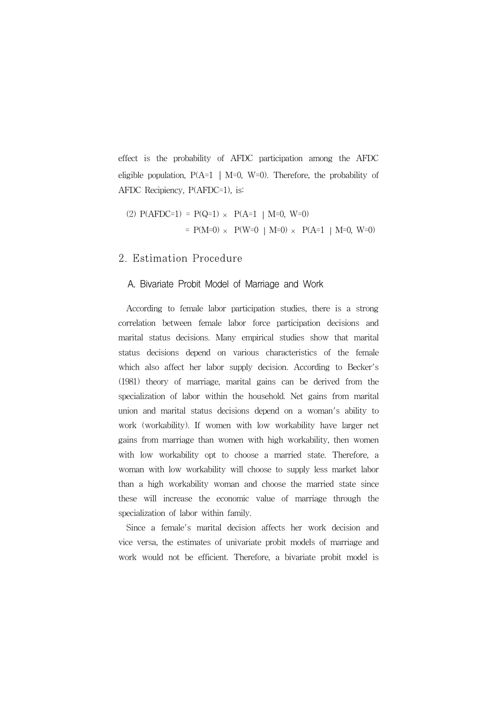effect is the probability of AFDC participation among the AFDC eligible population,  $P(A=1 | M=0, W=0)$ . Therefore, the probability of AFDC Recipiency, P(AFDC=1), is:

(2) 
$$
P(AFDC=1) = P(Q=1) \times P(A=1 | M=0, W=0)
$$
  
=  $P(M=0) \times P(W=0 | M=0) \times P(A=1 | M=0, W=0)$ 

#### 2. Estimation Procedure

#### A. Bivariate Probit Model of Marriage and Work

According to female labor participation studies, there is a strong correlation between female labor force participation decisions and marital status decisions. Many empirical studies show that marital status decisions depend on various characteristics of the female which also affect her labor supply decision. According to Becker's (1981) theory of marriage, marital gains can be derived from the specialization of labor within the household. Net gains from marital union and marital status decisions depend on a woman's ability to work (workability). If women with low workability have larger net gains from marriage than women with high workability, then women with low workability opt to choose a married state. Therefore, a woman with low workability will choose to supply less market labor than a high workability woman and choose the married state since these will increase the economic value of marriage through the specialization of labor within family.

Since a female's marital decision affects her work decision and vice versa, the estimates of univariate probit models of marriage and work would not be efficient. Therefore, a bivariate probit model is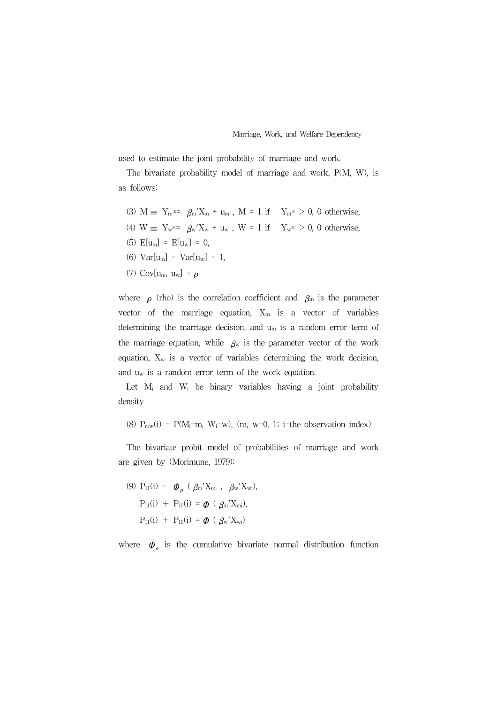used to estimate the joint probability of marriage and work.

The bivariate probability model of marriage and work, P(M, W), is as follows:

- (3)  $M = Y_m^{*z} \beta_m' X_m + u_m$ ,  $M = 1$  if  $Y_m^* > 0$ , 0 otherwise,
- (4) W  $\equiv Y_w^* = \beta_w' X_w + u_w$ , W = 1 if  $Y_w^* > 0$ , 0 otherwise,
- (5)  $E[u_m] = E[u_w] = 0$ ,
- (6)  $Var[u_m] = Var[u_w] = 1$ ,
- (7) Cov[u<sub>m</sub>, u<sub>w</sub>] =  $\rho$

where  $\rho$  (rho) is the correlation coefficient and  $\beta_m$  is the parameter vector of the marriage equation,  $X_m$  is a vector of variables determining the marriage decision, and  $u_m$  is a random error term of the marriage equation, while  $\beta_w$  is the parameter vector of the work equation,  $X_w$  is a vector of variables determining the work decision, and  $u_w$  is a random error term of the work equation.

Let  $M_i$  and  $W_i$  be binary variables having a joint probability density

(8)  $P_{mw}(i) = P(M_i=m, W_i=w)$ , (m, w=0, 1; i=the observation index)

The bivariate probit model of probabilities of marriage and work are given by (Morimune, 1979):

(9)  $P_{11}(i) = \boldsymbol{\varphi}_o$  ( $\beta_m' X_{mi}$ ,  $\beta_w' X_{wi}$ ),  $P_{11}(i) + P_{10}(i) = \phi$  ( $\beta_m' X_{mi}$ ),  $P_{11}(i) + P_{10}(i) = \phi \left( \beta_{w}^{\prime} X_{wi} \right)$ 

where  $\boldsymbol{\varphi}_{\rho}$  is the cumulative bivariate normal distribution function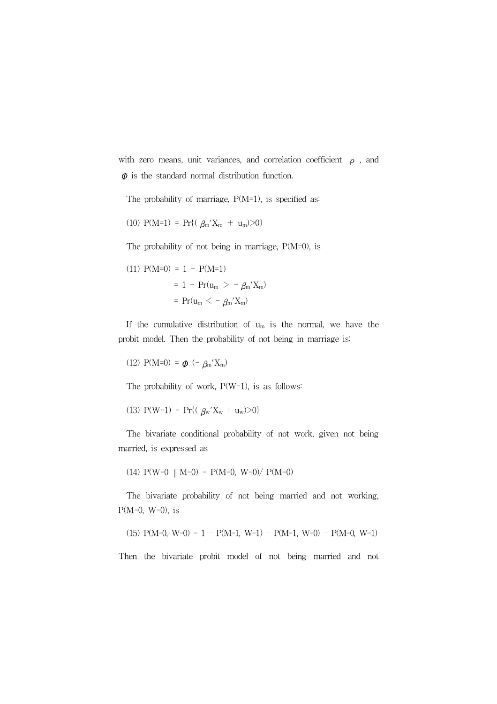with zero means, unit variances, and correlation coefficient  $\rho$  , and  $\Phi$  is the standard normal distribution function.

The probability of marriage,  $P(M=1)$ , is specified as:

(10) 
$$
P(M=1) = Pr\{(\ \beta_m' X_m + u_m) > 0\}
$$

The probability of not being in marriage, P(M=0), is

(11) 
$$
P(M=0) = 1 - P(M=1)
$$
  
= 1 -  $Pr(u_m > - \beta_m' X_m)$   
=  $Pr(u_m < - \beta_m' X_m)$ 

If the cumulative distribution of  $u_m$  is the normal, we have the probit model. Then the probability of not being in marriage is:

(12) 
$$
P(M=0) = \phi(-\beta_m'X_m)
$$

The probability of work, P(W=1), is as follows:

(13) 
$$
P(W=1) = Pr\{(\ \beta_w' X_w + u_w) > 0\}
$$

The bivariate conditional probability of not work, given not being married, is expressed as

$$
(14) P(W=0 | M=0) = P(M=0, W=0) / P(M=0)
$$

The bivariate probability of not being married and not working,  $P(M=0, W=0)$ , is

$$
(15) P(M=0, W=0) = 1 - P(M=1, W=1) - P(M=1, W=0) - P(M=0, W=1)
$$

Then the bivariate probit model of not being married and not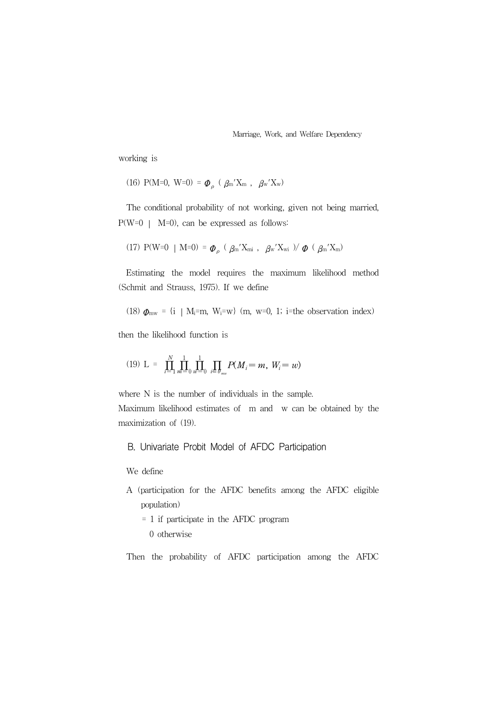working is

(16) P(M=0, W=0) =  $\phi_{\rho}$  ( $\beta$ m'X<sub>m</sub>,  $\beta$ w'X<sub>w</sub>)

The conditional probability of not working, given not being married, P(W=0 ∣ M=0), can be expressed as follows:

(17) 
$$
P(W=0 | M=0) = \mathbf{\Phi}_{\rho} (\beta_m' X_{mi}, \beta_w' X_{wi}) / \mathbf{\Phi} (\beta_m' X_m)
$$

Estimating the model requires the maximum likelihood method (Schmit and Strauss, 1975). If we define

(18)  $\Phi_{\text{mw}} = \{i \mid M_i = m, W_i = w\}$  (m, w=0, 1; i=the observation index)

then the likelihood function is

(19) L = 
$$
\prod_{i=1}^{N} \prod_{m=0}^{1} \prod_{w=0}^{1} \prod_{i \in \mathcal{J}_{mw}} P(M_i = m, W_i = w)
$$

where N is the number of individuals in the sample.

Maximum likelihood estimates of m and w can be obtained by the maximization of (19).

B. Univariate Probit Model of AFDC Participation

We define

A (participation for the AFDC benefits among the AFDC eligible population)

= 1 if participate in the AFDC program

0 otherwise

Then the probability of AFDC participation among the AFDC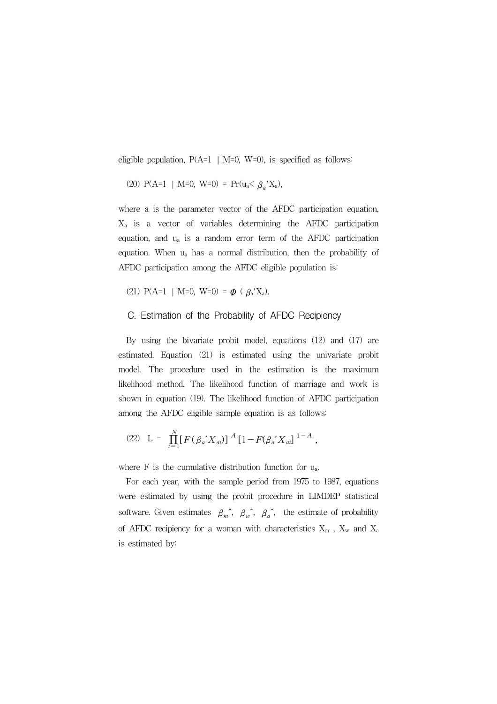eligible population,  $P(A=1 | M=0, W=0)$ , is specified as follows:

(20) 
$$
P(A=1 | M=0, W=0) = Pr(u_a \leq \beta_a' X_a)
$$
,

where a is the parameter vector of the AFDC participation equation, Xa is a vector of variables determining the AFDC participation equation, and ua is a random error term of the AFDC participation equation. When ua has a normal distribution, then the probability of AFDC participation among the AFDC eligible population is:

(21) P(A=1 | M=0, W=0) =  $\phi$  (  $\beta$ <sub>a</sub>'X<sub>a</sub>).

### C. Estimation of the Probability of AFDC Recipiency

By using the bivariate probit model, equations (12) and (17) are estimated. Equation (21) is estimated using the univariate probit model. The procedure used in the estimation is the maximum likelihood method. The likelihood function of marriage and work is shown in equation (19). The likelihood function of AFDC participation among the AFDC eligible sample equation is as follows:

(22) 
$$
L = \prod_{i=1}^{N} [F(\beta_a' X_{ai})]^{A_i} [1 - F(\beta_a' X_{ai}]^{1 - A_i},
$$

where  $F$  is the cumulative distribution function for  $u_a$ .

For each year, with the sample period from 1975 to 1987, equations were estimated by using the probit procedure in LIMDEP statistical software. Given estimates  $\beta_m^{\hat{}}$ ,  $\beta_w^{\hat{}}$ ,  $\beta_a^{\hat{}}$ , the estimate of probability of AFDC recipiency for a woman with characteristics  $X_m$ ,  $X_w$  and  $X_a$ is estimated by: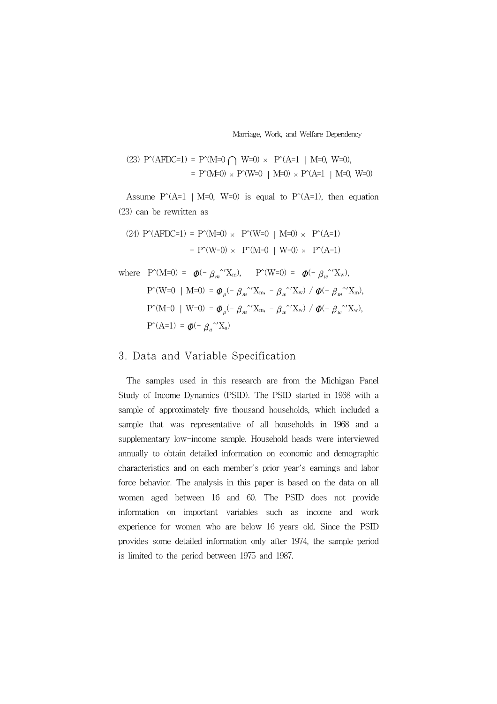(23) 
$$
P^{\wedge}(\text{AFDC=1}) = P^{\wedge}(\text{M=0} \cap W=0) \times P^{\wedge}(\text{A=1} | \text{M=0}, W=0),
$$
  
=  $P^{\wedge}(\text{M=0}) \times P^{\wedge}(\text{W=0} | \text{M=0}) \times P^{\wedge}(\text{A=1} | \text{M=0}, W=0)$ 

Assume  $P^{\wedge}(A=1 \mid M=0, W=0)$  is equal to  $P^{\wedge}(A=1)$ , then equation (23) can be rewritten as

(24) 
$$
P^*(AFDC=1) = P^*(M=0) \times P^*(W=0 | M=0) \times P^*(A=1)
$$
  
=  $P^*(W=0) \times P^*(M=0 | W=0) \times P^*(A=1)$ 

where  $P^{\wedge}(M=0) = \phi(- \beta_m^{\wedge} X_m), \qquad P^{\wedge}(W=0) = \phi(- \beta_w^{\wedge} X_w),$  $P^{\uparrow}(W=0 | M=0) = \phi_{\rho}(- \beta_m^{\uparrow \prime} X_m, - \beta_w^{\uparrow \prime} X_w) / \phi(- \beta_m^{\uparrow \prime} X_m),$ P^(M=0 | W=0) =  $\phi_{\rho}(- \beta_m^{\text{''}}X_m, - \beta_w^{\text{''}}X_w)$  /  $\phi(- \beta_w^{\text{''}}X_w)$ ,  $P^{\wedge}(A=1) = \phi(-\beta_a^{\wedge'}X_a)$ 

## 3. Data and Variable Specification

The samples used in this research are from the Michigan Panel Study of Income Dynamics (PSID). The PSID started in 1968 with a sample of approximately five thousand households, which included a sample that was representative of all households in 1968 and a supplementary low-income sample. Household heads were interviewed annually to obtain detailed information on economic and demographic characteristics and on each member's prior year's earnings and labor force behavior. The analysis in this paper is based on the data on all women aged between 16 and 60. The PSID does not provide information on important variables such as income and work experience for women who are below 16 years old. Since the PSID provides some detailed information only after 1974, the sample period is limited to the period between 1975 and 1987.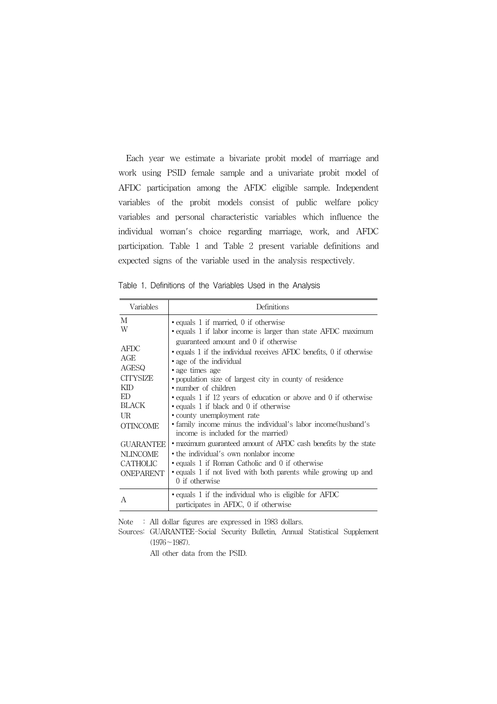Each year we estimate a bivariate probit model of marriage and work using PSID female sample and a univariate probit model of AFDC participation among the AFDC eligible sample. Independent variables of the probit models consist of public welfare policy variables and personal characteristic variables which influence the individual woman's choice regarding marriage, work, and AFDC participation. Table 1 and Table 2 present variable definitions and expected signs of the variable used in the analysis respectively.

Table 1. Definitions of the Variables Used in the Analysis

| Variables                                                           | Definitions                                                                                                                                                                                                                                                                                   |
|---------------------------------------------------------------------|-----------------------------------------------------------------------------------------------------------------------------------------------------------------------------------------------------------------------------------------------------------------------------------------------|
| М<br>W<br>AFDC<br>AGE<br>AGESQ                                      | · equals 1 if married, 0 if otherwise<br>• equals 1 if labor income is larger than state AFDC maximum<br>guaranteed amount and 0 if otherwise<br>• equals 1 if the individual receives AFDC benefits, 0 if otherwise<br>• age of the individual<br>• age times age                            |
| <b>CITYSIZE</b><br>KID<br>ED<br>BLACK<br>UR<br>OTINCOME             | • population size of largest city in county of residence<br>• number of children<br>• equals 1 if 12 years of education or above and 0 if otherwise<br>• equals 1 if black and 0 if otherwise<br>• county unemployment rate<br>• family income minus the individual's labor income (husband's |
| <b>GUARANTEE</b><br><b>NLINCOME</b><br><b>CATHOLIC</b><br>ONEPARENT | income is included for the married)<br>• maximum guaranteed amount of AFDC cash benefits by the state<br>• the individual's own nonlabor income<br>• equals 1 if Roman Catholic and 0 if otherwise<br>• equals 1 if not lived with both parents while growing up and<br>0 if otherwise        |
| A                                                                   | • equals 1 if the individual who is eligible for AFDC<br>participates in AFDC, 0 if otherwise                                                                                                                                                                                                 |

Note : All dollar figures are expressed in 1983 dollars.

Sources: GUARANTEE-Social Security Bulletin, Annual Statistical Supplement  $(1976 \sim 1987)$ .

All other data from the PSID.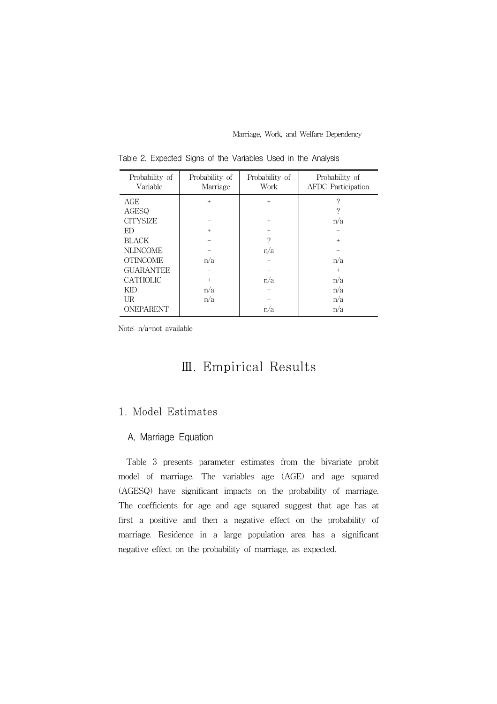| Probability of<br>Variable | Probability of<br>Marriage | Probability of<br>Work | Probability of<br><b>AFDC</b> Participation |
|----------------------------|----------------------------|------------------------|---------------------------------------------|
| AGE                        | $+$                        | $+$                    | 9                                           |
| AGESQ                      |                            |                        |                                             |
| <b>CITYSIZE</b>            |                            | $+$                    | n/a                                         |
| ED                         | $+$                        | $+$                    |                                             |
| <b>BLACK</b>               |                            | $\mathcal{P}$          | $+$                                         |
| <b>NLINCOME</b>            |                            | n/a                    |                                             |
| <b>OTINCOME</b>            | n/a                        |                        | n/a                                         |
| <b>GUARANTEE</b>           |                            |                        | $+$                                         |
| <b>CATHOLIC</b>            | $+$                        | n/a                    | n/a                                         |
| KID                        | n/a                        |                        | n/a                                         |
| UR                         | n/a                        |                        | n/a                                         |
| ONEPARENT                  |                            | n/a                    | n/a                                         |

Table 2. Expected Signs of the Variables Used in the Analysis

Note: n/a=not available

# Ⅲ. Empirical Results

## 1. Model Estimates

### A. Marriage Equation

Table 3 presents parameter estimates from the bivariate probit model of marriage. The variables age (AGE) and age squared (AGESQ) have significant impacts on the probability of marriage. The coefficients for age and age squared suggest that age has at first a positive and then a negative effect on the probability of marriage. Residence in a large population area has a significant negative effect on the probability of marriage, as expected.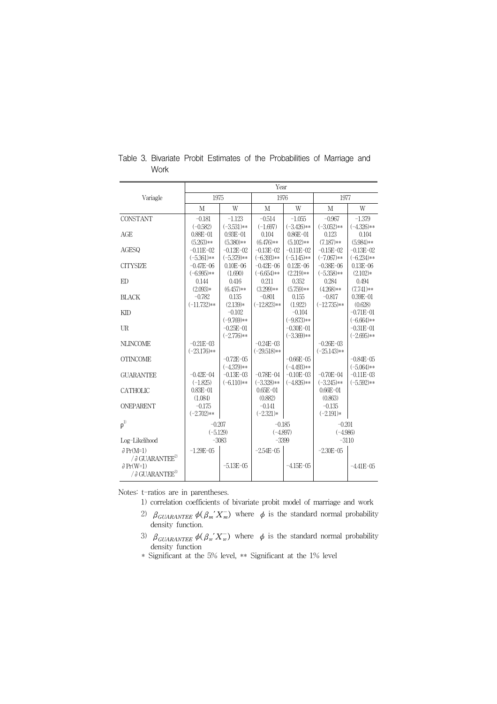|                                      | Year                        |                                |                      |                               |                      |                                |  |
|--------------------------------------|-----------------------------|--------------------------------|----------------------|-------------------------------|----------------------|--------------------------------|--|
| Variagle                             | 1975                        |                                | 1976                 |                               | 1977                 |                                |  |
|                                      | M                           | W                              | M                    | W                             | M                    | W                              |  |
| <b>CONSTANT</b>                      | $-0.181$                    | $-1.123$                       | $-0.514$             | $-1.055$                      | $-0.967$             | $-1.379$                       |  |
|                                      | $(-0.582)$                  | $(-3.531)**$                   | $(-1.697)$           | $(-3.426)$ **                 | $(-3.052)**$         | $(-4.326)$ **                  |  |
| AGE                                  | $0.88E - 01$<br>$(5.263)**$ | $0.93E - 01$<br>$(5.380)**$    | 0.104<br>$(6.476)**$ | $0.86E - 01$<br>$(5.102)**$   | 0.123<br>$(7.187)**$ | 0.104<br>$(5.984)**$           |  |
| AGESQ                                | $-0.11E - 02$               | $-0.12E - 02$                  | $-0.13E - 02$        | $-0.11E - 02$                 | $-0.15E - 02$        | $-0.13E - 02$                  |  |
|                                      | $(-5.361)**$                | $(-5.379)**$                   | $(-6.393)**$         | $(-5.145)**$                  | $(-7.067)**$         | $(-6.234)**$                   |  |
| <b>CITYSIZE</b>                      | $-0.47E - 06$               | $0.10E - 06$                   | $-0.42E - 06$        | $0.12E - 06$                  | $-0.38E - 06$        | $0.13E - 06$                   |  |
|                                      | $(-6.995)**$                | (1.690)                        | $(-6.654)$ **        | $(2.219)**$                   | $(-5.358)**$         | $(2.102)*$                     |  |
| ED                                   | 0.144                       | 0.416                          | 0.211                | 0.352                         | 0.284                | 0.494                          |  |
|                                      | $(2.093)*$                  | $(6.457)**$                    | $(3.299)**$          | $(5.759)**$                   | $(4.268)**$          | $(7.741)**$                    |  |
| <b>BLACK</b>                         | $-0.782$                    | 0.135                          | $-0.801$             | 0.155                         | $-0.817$             | $0.39E - 01$                   |  |
|                                      | $(-11.732)**$               | $(2.139)*$                     | $(-12.823)**$        | (1.922)                       | $(-12.735)**$        | (0.628)                        |  |
| <b>KID</b>                           |                             | $-0.102$                       |                      | $-0.104$                      |                      | $-0.71E - 01$                  |  |
|                                      |                             | $(-9.769)**$                   |                      | $(-9.873)**$                  |                      | $(-6.664)$ **                  |  |
| UR                                   |                             | $-0.25E - 01$                  |                      | $-0.30E - 01$                 |                      | $-0.31E - 01$                  |  |
|                                      |                             | $(-2.776)$ **                  |                      | $(-3.369)**$                  |                      | $(-2.695)$ **                  |  |
| <b>NLINCOME</b>                      | $-0.21E - 0.3$              |                                | $-0.24E - 0.3$       |                               | $-0.26E - 0.3$       |                                |  |
|                                      | $(-23.176)**$               |                                | $(-29.518)**$        |                               | $(-25.143)**$        |                                |  |
| <b>OTINCOME</b>                      |                             | $-0.72E - 0.5$<br>$(-4.379)**$ |                      | $-0.66E - 05$<br>$(-4.493)**$ |                      | $-0.84E - 05$<br>$(-5.064)$ ** |  |
| <b>GUARANTEE</b>                     | $-0.42E - 04$               | $-0.13E - 0.3$                 | $-0.78E - 04$        | $-0.10E - 0.3$                | $-0.70E - 0.4$       | $-0.11E - 03$                  |  |
|                                      | $(-1.825)$                  | $(-6.110)**$                   | $(-3.328)**$         | $(-4.826)$ **                 | $(-3.245)**$         | $(-5.592)**$                   |  |
| <b>CATHOLIC</b>                      | $0.83E - 01$                |                                | $0.65E - 01$         |                               | $0.66E - 01$         |                                |  |
|                                      | (1.084)                     |                                | (0.882)              |                               | (0.863)              |                                |  |
| <b>ONEPARENT</b>                     | $-0.175$                    |                                | $-0.141$             |                               | $-0.135$             |                                |  |
|                                      | $(-2.702)$ **               |                                | $(-2.321)*$          |                               | $(-2.191)*$          |                                |  |
| $\rho^{1)}$                          | $-0.207$                    |                                | $-0.185$             |                               | $-0.201$             |                                |  |
|                                      | $(-5.129)$                  |                                | $(-4.897)$           |                               | $(-4.986)$           |                                |  |
| Log-Likelihood                       |                             | $-3083$                        | $-3399$              |                               | $-3110$              |                                |  |
| $\partial Pr(M=1)$                   | $-1.29E - 0.5$              |                                | $-2.54E - 05$        |                               | $-2.30E - 0.5$       |                                |  |
| / $\partial$ GUARANTEE <sup>2)</sup> |                             |                                |                      |                               |                      |                                |  |
| $\partial Pr(W=1)$                   |                             | $-5.13E - 0.5$                 |                      | $-4.15E - 0.5$                |                      | $-4.41E - 0.5$                 |  |
| / $\partial$ GUARANTEE <sup>3)</sup> |                             |                                |                      |                               |                      |                                |  |

Table 3. Bivariate Probit Estimates of the Probabilities of Marriage and Work

Notes: t-ratios are in parentheses.

- 1) correlation coefficients of bivariate probit model of marriage and work
- 2)  $\beta_{GURANTEE} \phi(\beta_m' X_m^-)$  where  $\phi$  is the standard normal probability density function.
- 3)  $\beta_{GUARANTEE} \phi(\beta_w' X_w^{-})$  where  $\phi$  is the standard normal probability density function
- \* Significant at the 5% level, \*\* Significant at the 1% level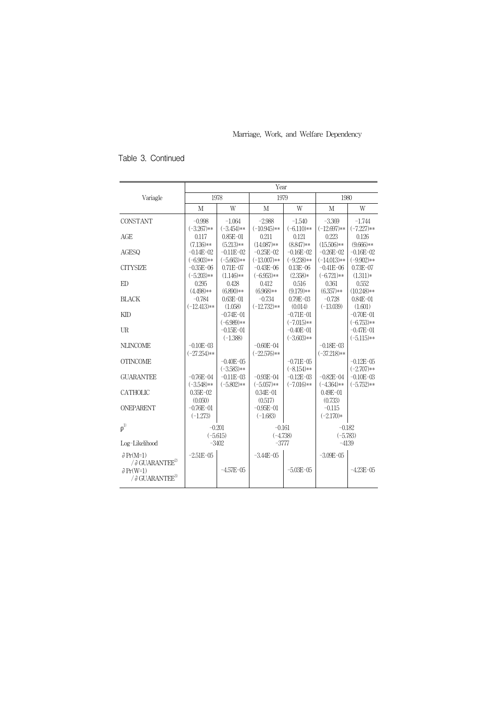## Table 3. Continued

|                                                                                                                          | Year                           |                                 |                                |                                 |                                |                                |  |
|--------------------------------------------------------------------------------------------------------------------------|--------------------------------|---------------------------------|--------------------------------|---------------------------------|--------------------------------|--------------------------------|--|
| Variagle                                                                                                                 | 1978                           |                                 | 1979                           |                                 | 1980                           |                                |  |
|                                                                                                                          | M                              | W                               | M                              | W                               | M                              | W                              |  |
| <b>CONSTANT</b>                                                                                                          | $-0.998$<br>$(-3.267)**$       | $-1.064$<br>$(-3.454)$ **       | $-2.988$<br>$(-10.945)**$      | $-1.540$<br>$(-6.110)**$        | $-3.369$<br>$(-12.697)**$      | $-1.744$<br>$(-7.227)**$       |  |
| AGE                                                                                                                      | 0.117<br>$(7.136)**$           | $0.85E - 01$<br>$(5.213)**$     | 0.211<br>$(14.087)**$          | 0.121<br>$(8.847)**$            | 0.223<br>$(15.506)**$          | 0.126<br>$(9.666)**$           |  |
| <b>AGESO</b>                                                                                                             | $-0.14E - 02$<br>$(-6.903)**$  | $-0.11E - 02$<br>$(-5.663)$ **  | $-0.25E-02$<br>$(-13.007)**$   | $-0.16E - 02$<br>$(-9.238)**$   | $-0.26E - 02$<br>$(-14.013)**$ | $-0.16E - 02$<br>$(-9.902)**$  |  |
| <b>CITYSIZE</b>                                                                                                          | $-0.35E - 06$<br>$(-5.203)$ ** | $0.71E - 07$<br>$(1.146)**$     | $-0.43E - 06$<br>$(-6.953)**$  | $0.13E - 06$<br>$(2.358)*$      | $-0.41E - 06$<br>$(-6.721)**$  | $0.73E - 07$<br>$(1.311)*$     |  |
| ED                                                                                                                       | 0.295<br>$(4.498)**$           | 0.428<br>$(6.890)**$            | 0.412<br>$(6.968)**$           | 0.516<br>$(9.179)**$            | 0.361<br>$(6.357)**$           | 0.552<br>$(10.248)$ **         |  |
| <b>BLACK</b>                                                                                                             | $-0.784$<br>$(-12.413)**$      | $0.63E - 01$<br>(1.058)         | $-0.734$<br>$(-12.732)**$      | $0.79E - 03$<br>(0.014)         | $-0.728$<br>$(-13.039)$        | $0.84E - 01$<br>(1.601)        |  |
| <b>KID</b>                                                                                                               |                                | $-0.74E - 01$<br>$(-6.989)**$   |                                | $-0.71E - 01$<br>$(-7.015)**$   |                                | $-0.70E - 01$<br>$(-6.753)**$  |  |
| U <sub>R</sub>                                                                                                           |                                | $-0.15E - 01$<br>$(-1.388)$     |                                | $-0.40E - 01$<br>$(-3.603)$ **  |                                | $-0.47E - 01$<br>$(-5.115)**$  |  |
| <b>NLINCOME</b>                                                                                                          | $-0.10E - 03$<br>$(-27.254)**$ |                                 | $-0.60E - 04$<br>$(-22.576)**$ |                                 | $-0.18E - 03$<br>$(-37.218)**$ |                                |  |
| <b>OTINCOME</b>                                                                                                          |                                | $-0.40E - 0.5$<br>$(-3.583)$ ** |                                | $-0.71E - 0.5$<br>$(-8.154)$ ** |                                | $-0.12E - 0.5$<br>$(-2.707)**$ |  |
| <b>GUARANTEE</b>                                                                                                         | $-0.76E - 04$<br>$(-3.548)**$  | $-0.11E - 03$<br>$(-5.802)**$   | $-0.93E - 04$<br>$(-5.057)**$  | $-0.12E - 03$<br>$(-7.016)**$   | $-0.82E - 04$<br>$(-4.364)**$  | $-0.10E - 03$<br>$(-5.752)**$  |  |
| <b>CATHOLIC</b>                                                                                                          | $0.35E - 02$<br>(0.050)        |                                 | $0.34E - 01$<br>(0.517)        |                                 | $0.49E - 01$<br>(0.733)        |                                |  |
| <b>ONEPARENT</b>                                                                                                         | $-0.76E - 01$<br>$(-1.273)$    |                                 | $-0.95E - 01$<br>$(-1.683)$    |                                 | $-0.115$<br>$(-2.170)*$        |                                |  |
| $p^{(1)}$                                                                                                                | $-0.201$<br>$(-5.615)$         |                                 | $-0.161$<br>$(-4.738)$         |                                 | $-0.182$<br>$(-5.783)$         |                                |  |
| Log-Likelihood                                                                                                           |                                | $-3402$                         | $-3777$                        |                                 | $-4139$                        |                                |  |
| $\partial Pr(M=1)$<br>/ $\partial$ GUARANTEE <sup>2)</sup><br>$\partial Pr(W=1)$<br>/ $\partial$ GUARANTEE <sup>3)</sup> | $-2.51E - 0.5$                 | $-4.57E - 0.5$                  | $-3.44E - 0.5$                 | $-5.03E - 05$                   | $-3.09E - 0.5$                 | $-4.23E - 05$                  |  |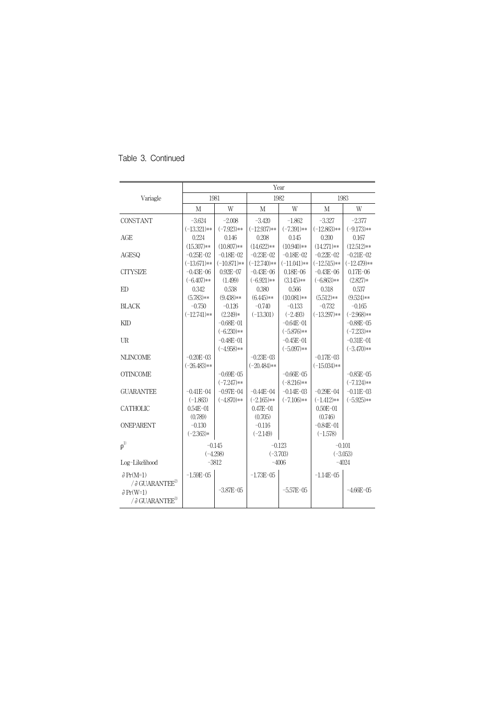|                                      | Year          |               |                |               |                |                |  |
|--------------------------------------|---------------|---------------|----------------|---------------|----------------|----------------|--|
| Variagle                             | 1981          |               |                | 1982          | 1983           |                |  |
|                                      | M             | W             | M              | W             | M              | W              |  |
| <b>CONSTANT</b>                      | $-3.624$      | $-2.008$      | $-3.420$       | $-1.862$      | $-3.327$       | $-2.377$       |  |
|                                      | $(-13.321)**$ | $(-7.923)**$  | $(-12.937)**$  | $(-7.391)**$  | $(-12.863)**$  | $(-9.173)**$   |  |
| AGE                                  | 0.224         | 0.146         | 0.208          | 0.145         | 0.200          | 0.167          |  |
|                                      | $(15.307)**$  | $(10.807)**$  | $(14.622)**$   | $(10.940)**$  | $(14.271)**$   | $(12.512)**$   |  |
| <b>AGESO</b>                         | $-0.25E - 02$ | $-0.18E - 02$ | $-0.23E - 02$  | $-0.18E - 02$ | $-0.22E - 02$  | $-0.21E - 02$  |  |
|                                      | $(-13.671)**$ | $(-10.871)**$ | $(-12.740)$ ** | $(-11.041)**$ | $(-12.515)**$  | $(-12.479)**$  |  |
| <b>CITYSIZE</b>                      | $-0.43E - 06$ | $0.92E - 07$  | $-0.43E - 06$  | $0.18E - 06$  | $-0.43E - 06$  | $0.17E - 06$   |  |
|                                      | $(-6.407)**$  | (1.499)       | $(-6.921)**$   | $(3.145)**$   | $(-6.863)**$   | $(2.827)*$     |  |
| ED                                   | 0.342         | 0.538         | 0.380          | 0.566         | 0.318          | 0.537          |  |
|                                      | $(5.783)**$   | $(9.438)**$   | $(6.445)**$    | $(10.081)**$  | $(5.512)*$     | $(9.524)$ **   |  |
| <b>BLACK</b>                         | $-0.750$      | $-0.126$      | $-0.740$       | $-0.133$      | $-0.732$       | $-0.165$       |  |
|                                      | $(-12.741)**$ | $(2.249)*$    | $(-13.301)$    | $(-2.493)$    | $(-13.297)**$  | $(-2.968)$ **  |  |
| <b>KID</b>                           |               | $-0.68E - 01$ |                | $-0.64E - 01$ |                | $-0.88E - 05$  |  |
|                                      |               | $(-6.230)**$  |                | $(-5.876)$ ** |                | $(-7.233)**$   |  |
| U <sub>R</sub>                       |               | $-0.48E - 01$ |                | $-0.45E - 01$ |                | $-0.31E - 01$  |  |
|                                      |               | $(-4.958)**$  |                | $(-5.097)**$  |                | $(-3.470)**$   |  |
| <b>NLINCOME</b>                      | $-0.20E - 03$ |               | $-0.23E - 03$  |               | $-0.17E - 03$  |                |  |
|                                      | $(-26.483)**$ |               | $(-20.484)$ ** |               | $(-15.034)**$  |                |  |
| <b>OTINCOME</b>                      |               | $-0.69E - 05$ |                | $-0.66E - 05$ |                | $-0.85E - 05$  |  |
|                                      |               | $(-7.247)**$  |                | $(-8.216)**$  |                | $(-7.124)$ **  |  |
| <b>GUARANTEE</b>                     | $-0.41E - 04$ | $-0.97E - 04$ | $-0.44E - 04$  | $-0.14E - 03$ | $-0.29E - 04$  | $-0.11E - 03$  |  |
|                                      | $(-1.863)$    | $(-4.870)**$  | $(-2.165)**$   | $(-7.106)$ ** | $(-1.412)**$   | $(-5.925)**$   |  |
| <b>CATHOLIC</b>                      | $0.54E - 01$  |               | $0.47E - 01$   |               | $0.50E - 01$   |                |  |
|                                      | (0.789)       |               | (0.705)        |               | (0.746)        |                |  |
| <b>ONEPARENT</b>                     | $-0.130$      |               | $-0.116$       |               | $-0.84E - 01$  |                |  |
|                                      | $(-2.363)*$   |               | $(-2.149)$     |               | $(-1.578)$     |                |  |
| $\rho^{1)}$                          |               | $-0.145$      |                | $-0.123$      | $-0.101$       |                |  |
|                                      | $(-4.298)$    |               |                | $(-3.703)$    |                | $(-3.053)$     |  |
| Log-Likelihood                       |               | $-3812$       |                | $-4006$       |                | $-4024$        |  |
| $\partial Pr(M=1)$                   | $-1.59E - 05$ |               | $-1.73E - 05$  |               | $-1.14E - 0.5$ |                |  |
| / $\partial$ GUARANTEE <sup>2)</sup> |               |               |                |               |                |                |  |
| $\partial Pr(W=1)$                   |               | $-3.87E - 05$ |                | $-5.57E - 05$ |                | $-4.66E - 0.5$ |  |
| / $\partial$ GUARANTEE <sup>3)</sup> |               |               |                |               |                |                |  |
|                                      |               |               |                |               |                |                |  |

Table 3. Continued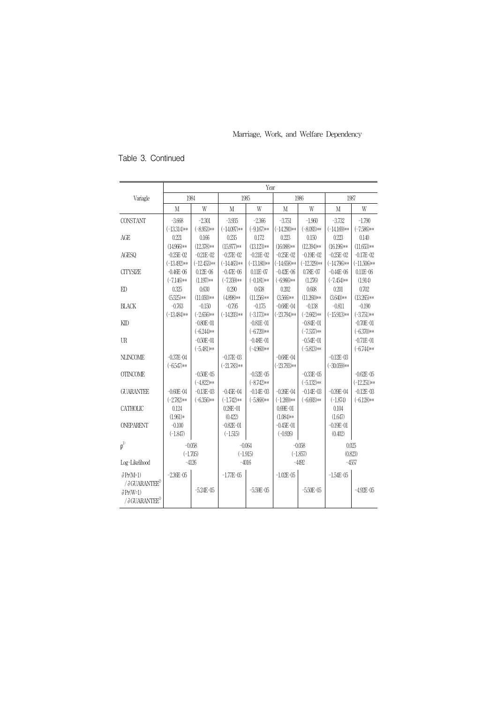## Table 3. Continued

|                                      | Year                |                |                         |                |                              |                |                  |                |
|--------------------------------------|---------------------|----------------|-------------------------|----------------|------------------------------|----------------|------------------|----------------|
| Variagle                             | 1984                |                |                         | 1985           | 1986                         |                | 1987             |                |
|                                      | M                   | W              | M                       | W              | M                            | W              | M                | W              |
| CONSTANT                             | $-3.668$            | $-2.301$       | $-3.935$                | $-2.366$       | $-3.751$                     | $-1.960$       | $-3.732$         | $-1.790$       |
|                                      | $(-13.314)$ **      | $(-8.953)**$   | $(-14.097)*$            | $(-9.167)**$   | $(-14.290)*$                 | $(-8.093)*$    | $(-14.169)$ **   | $(-7.586)**$   |
| AGE                                  | 0.221               | 0.166          | 0.235                   | 0.172          | 0.223                        | 0.150          | 0.223            | 0.140          |
|                                      | $(14.966)*$         | $(12.378)**$   | $(15.977)**$            | $(13.123)**$   | $(16.088)**$                 | $(12.394)**$   | $(16.196)*$      | $(11.653)*$    |
| <b>AGESQ</b>                         | $-0.25E - 02$       | $-0.21E - 0.2$ | $-0.27E - 02$           | $-0.21E - 0.2$ | $-0.25E - 02$                | $-0.19E - 02$  | $-0.25E - 02$    | $-0.17E - 02$  |
|                                      | $(-13.492)*$        | $(-12.453)**$  | $(-14.463)**$           | $(-13.180)$ ** | $(-14.658)*$                 | $(-12.329)**$  | $(-14.796)$ **   | $(-11.506)*$   |
| <b>CITYSIZE</b>                      | $-0.46E - 06$       | $0.12E - 06$   | $-0.47E - 06$           | $0.11E - 07$   | $-0.42E - 06$                | $0.78E - 07$   | $-0.44E - 06$    | $0.11E - 06$   |
|                                      | $(-7.146)*$         | $(1.197)**$    | $(-7.359)**$            | $(-0.181)$ **  | $(-6.966)*$                  | (1.276)        | $(-7.454)$ **    | (1.914)        |
| ED                                   | 0.325               | 0.630          | 0.290                   | 0.638          | 0.202                        | 0.608          | 0.201            | 0.702          |
|                                      | $(5.525)**$         | $(11.050)*$    | $(4.898)**$             | $(11.256)**$   | $(3.566)**$                  | $(11.260)**$   | $(3.640)**$      | $(13.265)**$   |
| <b>BLACK</b>                         | $-0.763$            | $-0.150$       | $-0.795$                | $-0.175$       | $-0.68E - 04$                | $-0.138$       | $-0.811$         | $-0.190$       |
|                                      | $(-13.484)$ **      | $(-2.656)**$   | $(-14.203)$ **          | $(-3.173)$ **  | $(-23.794)$ **               | $(-2.662)**$   | $(-15.913)*$     | $(-3.751)**$   |
| KID                                  |                     | $-0.80E - 01$  |                         | $-0.81E - 01$  |                              | $-0.84E - 01$  |                  | $-0.70E - 01$  |
|                                      |                     | $(-6.244)$ **  |                         | $(-6.720)**$   |                              | $(-7.537)**$   |                  | $(-6.370)**$   |
| UR                                   |                     | $-0.50E - 01$  |                         | $-0.48E - 01$  |                              | $-0.54E - 01$  |                  | $-0.71E - 01$  |
|                                      |                     | $(-5.481)*$    |                         | $(-4.960)**$   |                              | $(-5.813)**$   |                  | $(-6.744)*$    |
| <b>NLINCOME</b>                      | $-0.37E - 04$       |                | $-0.17E - 0.3$          |                | $-0.68E - 04$                |                | $-0.12E - 0.3$   |                |
|                                      | $(-6.547)**$        |                | $(-21.783)**$           |                | $(-23.793)$ **               |                | $(-30.059)*$     |                |
| <b>OTINCOME</b>                      |                     | $-0.50E - 0.5$ |                         | $-0.52E - 0.5$ |                              | $-0.33E - 0.5$ |                  | $-0.62E - 0.5$ |
|                                      |                     | $(-4.822)*$    |                         | $(-8.742)$ **  |                              | $(-5.132)**$   |                  | $(-12.251)*$   |
| <b>GUARANTEE</b>                     | $-0.60E - 04$       | $-0.13E - 03$  | $-0.45E - 0.4$          | $-0.14E - 03$  | $-0.26E - 04$                | $-0.14E - 03$  | $-0.39E - 04$    | $-0.12E - 03$  |
|                                      | $(-2.782)**$        | $(-6.356)**$   | $(-1.742)**$            | $(-5.868)$ **  | $(-1.269)$ **                | $(-6.693)*$    | $(-1.874)$       | $(-6.128)*$    |
| <b>CATHOLIC</b>                      | 0.124<br>$(1.961)*$ |                | $0.28E - 01$<br>(0.422) |                | $0.69E - 01$<br>$(1.084)$ ** |                | 0.104<br>(1.647) |                |
| <b>ONEPARENT</b>                     | $-0.100$            |                | $-0.82E - 01$           |                | $-0.45E - 01$                |                | $-0.19E - 01$    |                |
|                                      | $(-1.847)$          |                | $(-1.515)$              |                | $(-0.926)$                   |                | (0.402)          |                |
|                                      |                     |                |                         |                |                              |                |                  |                |
| $\rho^{1)}$                          |                     | $-0.058$       |                         | $-0.064$       |                              | $-0.058$       |                  | 0.025          |
|                                      |                     | $(-1.705)$     | $(-1.915)$              |                |                              | $(-1.857)$     |                  | (0.823)        |
| Log-Likelihood                       |                     | $-4126$        |                         | $-4016$        |                              | $-4492$        |                  | $-4557$        |
| $\partial Pr(M=1)$                   | $-2.36E - 0.5$      |                | $-1.77E - 0.5$          |                | $-1.02E - 0.5$               |                | $-1.54E - 0.5$   |                |
| / $\partial$ GUARANTEE <sup>2)</sup> |                     |                |                         |                |                              |                |                  |                |
| $\partial Pr(W=1)$                   |                     | $-5.24E - 05$  |                         | $-5.59E - 05$  |                              | $-5.50E - 05$  |                  | $-4.92E - 0.5$ |
| $\frac{1}{2}$ GUARANTEE <sup>3</sup> |                     |                |                         |                |                              |                |                  |                |
|                                      |                     |                |                         |                |                              |                |                  |                |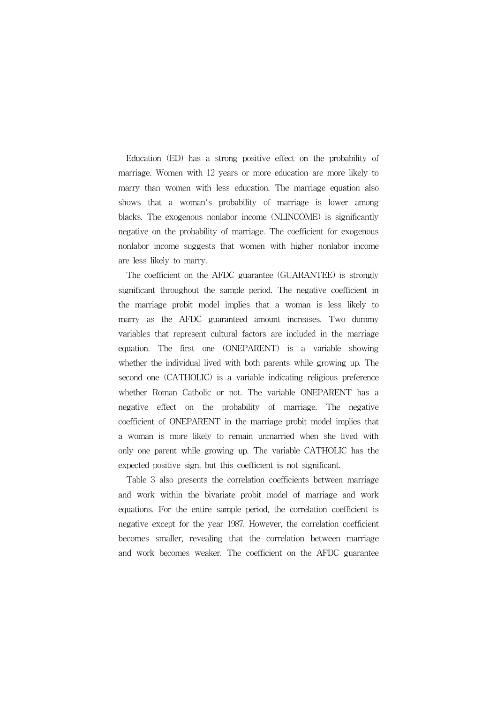Education (ED) has a strong positive effect on the probability of marriage. Women with 12 years or more education are more likely to marry than women with less education. The marriage equation also shows that a woman's probability of marriage is lower among blacks. The exogenous nonlabor income (NLINCOME) is significantly negative on the probability of marriage. The coefficient for exogenous nonlabor income suggests that women with higher nonlabor income are less likely to marry.

The coefficient on the AFDC guarantee (GUARANTEE) is strongly significant throughout the sample period. The negative coefficient in the marriage probit model implies that a woman is less likely to marry as the AFDC guaranteed amount increases. Two dummy variables that represent cultural factors are included in the marriage equation. The first one (ONEPARENT) is a variable showing whether the individual lived with both parents while growing up. The second one (CATHOLIC) is a variable indicating religious preference whether Roman Catholic or not. The variable ONEPARENT has a negative effect on the probability of marriage. The negative coefficient of ONEPARENT in the marriage probit model implies that a woman is more likely to remain unmarried when she lived with only one parent while growing up. The variable CATHOLIC has the expected positive sign, but this coefficient is not significant.

Table 3 also presents the correlation coefficients between marriage and work within the bivariate probit model of marriage and work equations. For the entire sample period, the correlation coefficient is negative except for the year 1987. However, the correlation coefficient becomes smaller, revealing that the correlation between marriage and work becomes weaker. The coefficient on the AFDC guarantee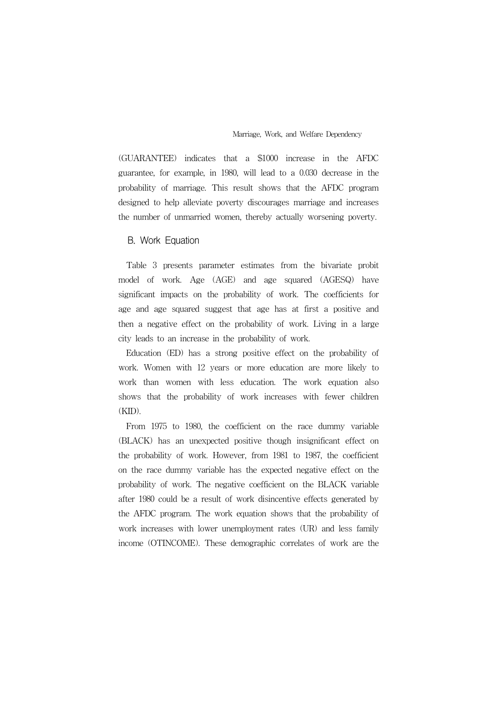(GUARANTEE) indicates that a \$1000 increase in the AFDC guarantee, for example, in 1980, will lead to a 0.030 decrease in the probability of marriage. This result shows that the AFDC program designed to help alleviate poverty discourages marriage and increases the number of unmarried women, thereby actually worsening poverty.

#### B. Work Equation

Table 3 presents parameter estimates from the bivariate probit model of work. Age (AGE) and age squared (AGESQ) have significant impacts on the probability of work. The coefficients for age and age squared suggest that age has at first a positive and then a negative effect on the probability of work. Living in a large city leads to an increase in the probability of work.

Education (ED) has a strong positive effect on the probability of work. Women with 12 years or more education are more likely to work than women with less education. The work equation also shows that the probability of work increases with fewer children (KID).

From 1975 to 1980, the coefficient on the race dummy variable (BLACK) has an unexpected positive though insignificant effect on the probability of work. However, from 1981 to 1987, the coefficient on the race dummy variable has the expected negative effect on the probability of work. The negative coefficient on the BLACK variable after 1980 could be a result of work disincentive effects generated by the AFDC program. The work equation shows that the probability of work increases with lower unemployment rates (UR) and less family income (OTINCOME). These demographic correlates of work are the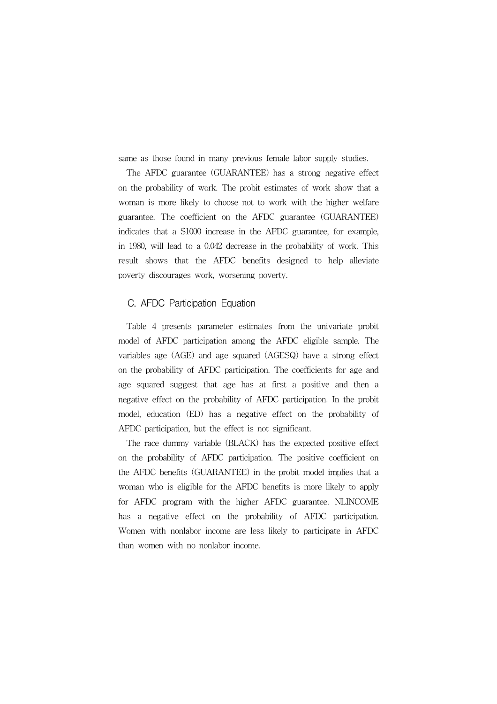same as those found in many previous female labor supply studies.

The AFDC guarantee (GUARANTEE) has a strong negative effect on the probability of work. The probit estimates of work show that a woman is more likely to choose not to work with the higher welfare guarantee. The coefficient on the AFDC guarantee (GUARANTEE) indicates that a \$1000 increase in the AFDC guarantee, for example, in 1980, will lead to a 0.042 decrease in the probability of work. This result shows that the AFDC benefits designed to help alleviate poverty discourages work, worsening poverty.

#### C. AFDC Participation Equation

Table 4 presents parameter estimates from the univariate probit model of AFDC participation among the AFDC eligible sample. The variables age (AGE) and age squared (AGESQ) have a strong effect on the probability of AFDC participation. The coefficients for age and age squared suggest that age has at first a positive and then a negative effect on the probability of AFDC participation. In the probit model, education (ED) has a negative effect on the probability of AFDC participation, but the effect is not significant.

The race dummy variable (BLACK) has the expected positive effect on the probability of AFDC participation. The positive coefficient on the AFDC benefits (GUARANTEE) in the probit model implies that a woman who is eligible for the AFDC benefits is more likely to apply for AFDC program with the higher AFDC guarantee. NLINCOME has a negative effect on the probability of AFDC participation. Women with nonlabor income are less likely to participate in AFDC than women with no nonlabor income.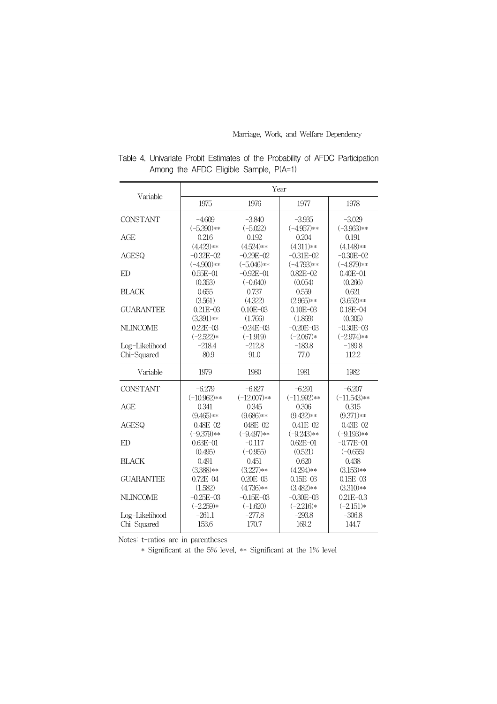Marriage, Work, and Welfare Dependency

| Variable                      | Year              |                   |                   |                   |  |  |  |
|-------------------------------|-------------------|-------------------|-------------------|-------------------|--|--|--|
|                               | 1975              | 1976              | 1977              | 1978              |  |  |  |
| <b>CONSTANT</b>               | $-4.609$          | $-3.840$          | $-3.935$          | $-3.029$          |  |  |  |
|                               | $(-5.390)**$      | $(-5.022)$        | $(-4.957)**$      | $(-3.963)**$      |  |  |  |
| AGE                           | 0.216             | 0.192             | 0.204             | 0.191             |  |  |  |
|                               | $(4.423)**$       | $(4.524)**$       | $(4.311)**$       | $(4.148)**$       |  |  |  |
| <b>AGESQ</b>                  | $-0.32E - 02$     | $-0.29E - 02$     | $-0.31E - 02$     | $-0.30E - 02$     |  |  |  |
|                               | $(-4.900)**$      | $(-5.046)$ **     | $(-4.793)**$      | $(-4.879)**$      |  |  |  |
| ED                            | $0.55E - 01$      | $-0.92E - 01$     | $0.82E - 02$      | $0.40E - 01$      |  |  |  |
|                               | (0.353)           | $(-0.640)$        | (0.054)           | (0.266)           |  |  |  |
| <b>BLACK</b>                  | 0.655             | 0.737             | 0.559             | 0.621             |  |  |  |
|                               | (3.561)           | (4.322)           | $(2.965)**$       | $(3.652)**$       |  |  |  |
| <b>GUARANTEE</b>              | $0.21E - 03$      | $0.10E - 03$      | $0.10E - 03$      | $0.18E - 04$      |  |  |  |
|                               | $(3.391)**$       | (1.766)           | (1.869)           | (0.305)           |  |  |  |
| <b>NLINCOME</b>               | $0.22E - 03$      | $-0.24E - 03$     | $-0.20E - 03$     | $-0.30E - 0.3$    |  |  |  |
|                               | $(-2.522)*$       | $(-1.919)$        | $(-2.067)*$       | $(-2.974)**$      |  |  |  |
| Log-Likelihood                | $-218.4$          | $-212.8$          | $-183.8$          | $-189.8$          |  |  |  |
| Chi-Squared                   | 80.9              | 91.0              | 77.0              | 112.2             |  |  |  |
| Variable                      | 1979              | 1980              | 1981              | 1982              |  |  |  |
| <b>CONSTANT</b>               | $-6.279$          | $-6.827$          | $-6.291$          | $-6.207$          |  |  |  |
|                               | $(-10.962)**$     | $(-12.007)**$     | $(-11.992)**$     | $(-11.543)**$     |  |  |  |
| AGE                           | 0.341             | 0.345             | 0.306             | 0.315             |  |  |  |
|                               | $(9.465)**$       | $(9.686)**$       | $(9.432)**$       | $(9.371)**$       |  |  |  |
| <b>AGESQ</b>                  | $-0.48E - 02$     | $-(0.48E-0.2)$    | $-0.41E - 02$     | $-0.43E - 02$     |  |  |  |
|                               | $(-9.379)**$      | $(-9.497)**$      | $(-9.243)**$      | $(-9.193)$ **     |  |  |  |
| ED                            | $0.63E - 01$      | $-0.117$          | $0.62E - 01$      | $-0.77E-01$       |  |  |  |
|                               | (0.495)           | $(-0.955)$        | (0.521)           | $(-0.655)$        |  |  |  |
| <b>BLACK</b>                  | 0.491             | 0.451             | 0.620             | 0.438             |  |  |  |
|                               | $(3.388)**$       | $(3.227)**$       | $(4.294)**$       | $(3.153)**$       |  |  |  |
| <b>GUARANTEE</b>              | $0.72E - 04$      | $0.20E - 03$      | $0.15E - 03$      | $0.15E - 0.3$     |  |  |  |
|                               | (1.582)           | $(4.736)**$       | $(3.482)**$       | $(3.310)**$       |  |  |  |
| <b>NLINCOME</b>               | $-0.25E - 03$     | $-0.15E - 03$     | $-0.30E - 0.3$    | $0.21E - 0.3$     |  |  |  |
|                               |                   |                   |                   |                   |  |  |  |
|                               | $(-2.259)*$       | $(-1.620)$        | $(-2.216)*$       | $(-2.151)*$       |  |  |  |
| Log-Likelihood<br>Chi-Squared | $-261.1$<br>153.6 | $-277.8$<br>170.7 | $-293.8$<br>169.2 | $-306.8$<br>144.7 |  |  |  |

Table 4. Univariate Probit Estimates of the Probability of AFDC Participation Among the AFDC Eligible Sample, P(A=1)

Notes: t-ratios are in parentheses

\* Significant at the 5% level, \*\* Significant at the 1% level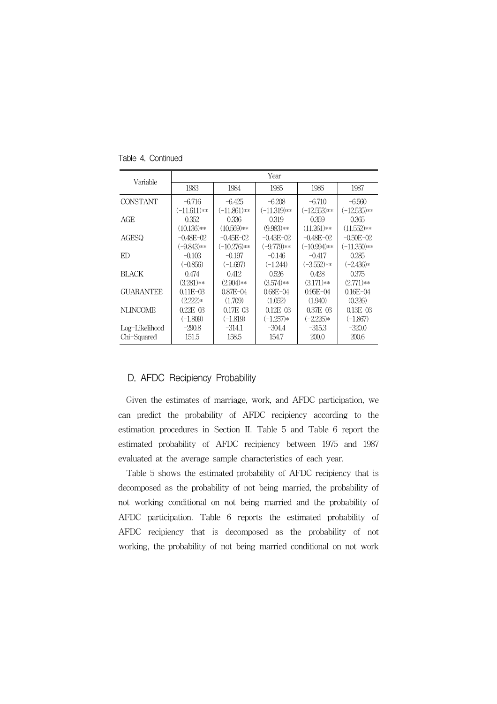| Variable         | Year          |                |                |                |                |  |  |  |  |
|------------------|---------------|----------------|----------------|----------------|----------------|--|--|--|--|
|                  | 1983          | 1984           | 1985           | 1986           | 1987           |  |  |  |  |
| <b>CONSTANT</b>  | $-6.716$      | $-6.425$       | $-6.208$       | $-6.710$       | $-6.560$       |  |  |  |  |
|                  | $(-11.611)**$ | $(-11.861)**$  | $(-11.319)**$  | $(-12.553)**$  | $(-12.535)**$  |  |  |  |  |
| AGE              | 0.352         | 0.336          | 0.319          | 0.359          | 0.365          |  |  |  |  |
|                  | $(10.136)**$  | $(10.569)**$   | $(9.983)**$    | $(11.261)**$   | $(11.552)**$   |  |  |  |  |
| AGESQ            | $-0.48E - 02$ | $-0.45E - 02$  | $-0.43E - 02$  | $-0.48E - 02$  | $-0.50E - 02$  |  |  |  |  |
|                  | $(-9.843)**$  | $(-10.276)**$  | $(-9.779)**$   | $(-10.994)$ ** | $(-11.350)**$  |  |  |  |  |
| ED               | $-0.103$      | $-0.197$       | $-0.146$       | $-0.417$       | 0.285          |  |  |  |  |
|                  | $(-0.856)$    | $(-1.697)$     | $(-1.244)$     | $(-3.552)**$   | $(-2.436)*$    |  |  |  |  |
| BLACK            | 0.474         | 0.412          | 0.526          | 0.428          | 0.375          |  |  |  |  |
|                  | $(3.281)**$   | $(2.904)**$    | $(3.574)**$    | $(3.171)**$    | $(2.771)**$    |  |  |  |  |
| <b>GUARANTEE</b> | $0.11E - 0.3$ | $0.87E - 04$   | $0.68E - 04$   | $0.95E - 04$   | $0.16E - 04$   |  |  |  |  |
|                  | $(2.222)*$    | (1.709)        | (1.052)        | (1.940)        | (0.326)        |  |  |  |  |
| <b>NLINCOME</b>  | $0.22E - 0.3$ | $-0.17E - 0.3$ | $-0.12E - 0.3$ | $-0.37E - 0.3$ | $-0.13E - 0.3$ |  |  |  |  |
|                  | $(-1.809)$    | $(-1.819)$     | $(-1.257)*$    | $(-2.226)*$    | $(-1.867)$     |  |  |  |  |
| Log-Likelihood   | $-290.8$      | $-314.1$       | $-304.4$       | -315.3         | $-320.0$       |  |  |  |  |
| Chi-Squared      | 151.5         | 158.5          | 154.7          | 200.0          | 200.6          |  |  |  |  |

Table 4. Continued

#### D. AFDC Recipiency Probability

Given the estimates of marriage, work, and AFDC participation, we can predict the probability of AFDC recipiency according to the estimation procedures in Section II. Table 5 and Table 6 report the estimated probability of AFDC recipiency between 1975 and 1987 evaluated at the average sample characteristics of each year.

Table 5 shows the estimated probability of AFDC recipiency that is decomposed as the probability of not being married, the probability of not working conditional on not being married and the probability of AFDC participation. Table 6 reports the estimated probability of AFDC recipiency that is decomposed as the probability of not working, the probability of not being married conditional on not work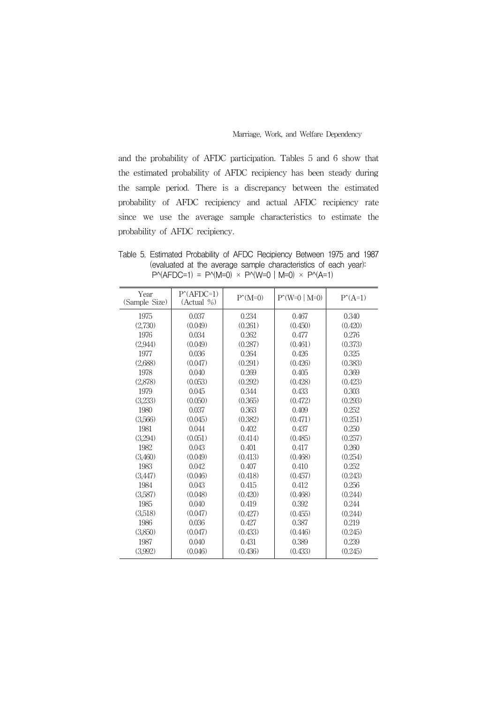and the probability of AFDC participation. Tables 5 and 6 show that the estimated probability of AFDC recipiency has been steady during the sample period. There is a discrepancy between the estimated probability of AFDC recipiency and actual AFDC recipiency rate since we use the average sample characteristics to estimate the probability of AFDC recipiency.

Table 5. Estimated Probability of AFDC Recipiency Between 1975 and 1987 (evaluated at the average sample characteristics of each year):  $P^{\wedge}(AFDC=1) = P^{\wedge}(M=0) \times P^{\wedge}(W=0 | M=0) \times P^{\wedge}(A=1)$ 

| Year<br>(Sample Size) | $P^{\wedge}(\text{AFDC=1})$<br>(Actual %) | $P^{\wedge}(\text{M=0})$ | $P(W=0   M=0)$ | $P^{\wedge}(A=1)$ |
|-----------------------|-------------------------------------------|--------------------------|----------------|-------------------|
| 1975                  | 0.037                                     | 0.234                    | 0.467          | 0.340             |
| (2,730)               | (0.049)                                   | (0.261)                  | (0.450)        | (0.420)           |
| 1976                  | 0.034                                     | 0.262                    | 0.477          | 0.276             |
| (2,944)               | (0.049)                                   | (0.287)                  | (0.461)        | (0.373)           |
| 1977                  | 0.036                                     | 0.264                    | 0.426          | 0.325             |
| (2,688)               | (0.047)                                   | (0.291)                  | (0.426)        | (0.383)           |
| 1978                  | 0.040                                     | 0.269                    | 0.405          | 0.369             |
| (2,878)               | (0.053)                                   | (0.292)                  | (0.428)        | (0.423)           |
| 1979                  | 0.045                                     | 0.344                    | 0.433          | 0.303             |
| (3,233)               | (0.050)                                   | (0.365)                  | (0.472)        | (0.293)           |
| 1980                  | 0.037                                     | 0.363                    | 0.409          | 0.252             |
| (3,566)               | (0.045)                                   | (0.382)                  | (0.471)        | (0.251)           |
| 1981                  | 0.044                                     | 0.402                    | 0.437          | 0.250             |
| (3,294)               | (0.051)                                   | (0.414)                  | (0.485)        | (0.257)           |
| 1982                  | 0.043                                     | 0.401                    | 0.417          | 0.260             |
| (3,460)               | (0.049)                                   | (0.413)                  | (0.468)        | (0.254)           |
| 1983                  | 0.042                                     | 0.407                    | 0.410          | 0.252             |
| (3,447)               | (0.046)                                   | (0.418)                  | (0.457)        | (0.243)           |
| 1984                  | 0.043                                     | 0.415                    | 0.412          | 0.256             |
| (3,587)               | (0.048)                                   | (0.420)                  | (0.468)        | (0.244)           |
| 1985                  | 0.040                                     | 0.419                    | 0.392          | 0.244             |
| (3,518)               | (0.047)                                   | (0.427)                  | (0.455)        | (0.244)           |
| 1986                  | 0.036                                     | 0.427                    | 0.387          | 0.219             |
| (3,850)               | (0.047)                                   | (0.433)                  | (0.446)        | (0.245)           |
| 1987                  | 0.040                                     | 0.431                    | 0.389          | 0.239             |
| (3,992)               | (0.046)                                   | (0.436)                  | (0.433)        | (0.245)           |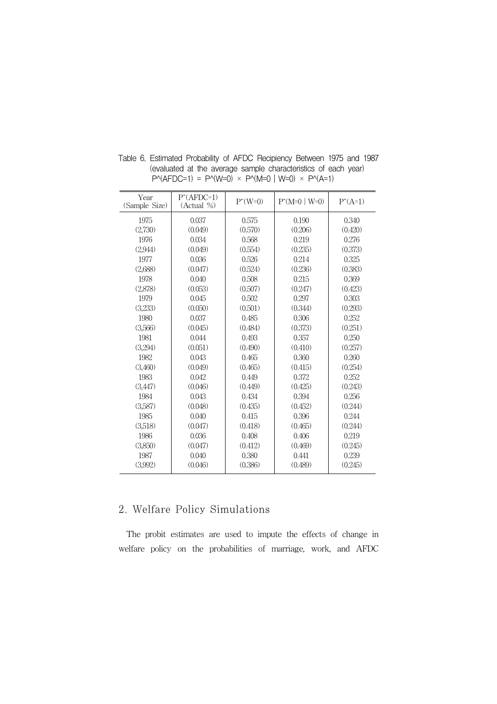| Year<br>(Sample Size) | $P^{\wedge}(\text{AFDC=1})$<br>(Actual %) | $P^{\wedge}(W=0)$ | $P(M=0   W=0)$ | $P^{\uparrow}(A=1)$ |
|-----------------------|-------------------------------------------|-------------------|----------------|---------------------|
| 1975                  | 0.037                                     | 0.575             | 0.190          | 0.340               |
| (2,730)               | (0.049)                                   | (0.570)           | (0.206)        | (0.420)             |
| 1976                  | 0.034                                     | 0.568             | 0.219          | 0.276               |
| (2,944)               | (0.049)                                   | (0.554)           | (0.235)        | (0.373)             |
| 1977                  | 0.036                                     | 0.526             | 0.214          | 0.325               |
| (2,688)               | (0.047)                                   | (0.524)           | (0.236)        | (0.383)             |
| 1978                  | 0.040                                     | 0.508             | 0.215          | 0.369               |
| (2,878)               | (0.053)                                   | (0.507)           | (0.247)        | (0.423)             |
| 1979                  | 0.045                                     | 0.502             | 0.297          | 0.303               |
| (3,233)               | (0.050)                                   | (0.501)           | (0.344)        | (0.293)             |
| 1980                  | 0.037                                     | 0.485             | 0.306          | 0.252               |
| (3,566)               | (0.045)                                   | (0.484)           | (0.373)        | (0.251)             |
| 1981                  | 0.044                                     | 0.493             | 0.357          | 0.250               |
| (3,294)               | (0.051)                                   | (0.490)           | (0.410)        | (0.257)             |
| 1982                  | 0.043                                     | 0.465             | 0.360          | 0.260               |
| (3,460)               | (0.049)                                   | (0.465)           | (0.415)        | (0.254)             |
| 1983                  | 0.042                                     | 0.449             | 0.372          | 0.252               |
| (3,447)               | (0.046)                                   | (0.449)           | (0.425)        | (0.243)             |
| 1984                  | 0.043                                     | 0.434             | 0.394          | 0.256               |
| (3,587)               | (0.048)                                   | (0.435)           | (0.452)        | (0.244)             |
| 1985                  | 0.040                                     | 0.415             | 0.396          | 0.244               |
| (3,518)               | (0.047)                                   | (0.418)           | (0.465)        | (0.244)             |
| 1986                  | 0.036                                     | 0.408             | 0.406          | 0.219               |
| (3,850)               | (0.047)                                   | (0.412)           | (0.469)        | (0.245)             |
| 1987                  | 0.040                                     | 0.380             | 0.441          | 0.239               |
| (3,992)               | (0.046)                                   | (0.386)           | (0.489)        | (0.245)             |

Table 6. Estimated Probability of AFDC Recipiency Between 1975 and 1987 (evaluated at the average sample characteristics of each year)  $P^{\wedge}(AFDC=1) = P^{\wedge}(W=0) \times P^{\wedge}(M=0 | W=0) \times P^{\wedge}(A=1)$ 

# 2. Welfare Policy Simulations

The probit estimates are used to impute the effects of change in welfare policy on the probabilities of marriage, work, and AFDC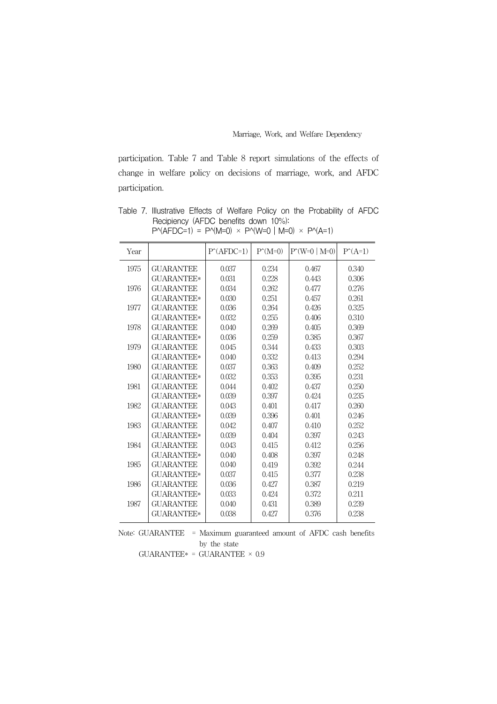participation. Table 7 and Table 8 report simulations of the effects of change in welfare policy on decisions of marriage, work, and AFDC participation.

Table 7. Illustrative Effects of Welfare Policy on the Probability of AFDC Recipiency (AFDC benefits down 10%):  $P^{\wedge}(AFDC=1) = P^{\wedge}(M=0) \times P^{\wedge}(W=0 | M=0) \times P^{\wedge}(A=1)$ 

| Year |                   | $P^{\wedge}(\text{AFDC=1})$ | $P^{\wedge}(\text{M=0})$ | $P(W=0   M=0)$ | $P^{\uparrow}(A=1)$ |
|------|-------------------|-----------------------------|--------------------------|----------------|---------------------|
| 1975 | <b>GUARANTEE</b>  | 0.037                       | 0.234                    | 0.467          | 0.340               |
|      | <b>GUARANTEE*</b> | 0.031                       | 0.228                    | 0.443          | 0.306               |
| 1976 | <b>GUARANTEE</b>  | 0.034                       | 0.262                    | 0.477          | 0.276               |
|      | GUARANTEE*        | 0.030                       | 0.251                    | 0.457          | 0.261               |
| 1977 | <b>GUARANTEE</b>  | 0.036                       | 0.264                    | 0.426          | 0.325               |
|      | <b>GUARANTEE*</b> | 0.032                       | 0.255                    | 0.406          | 0.310               |
| 1978 | <b>GUARANTEE</b>  | 0.040                       | 0.269                    | 0.405          | 0.369               |
|      | <b>GUARANTEE*</b> | 0.036                       | 0.259                    | 0.385          | 0.367               |
| 1979 | <b>GUARANTEE</b>  | 0.045                       | 0.344                    | 0.433          | 0.303               |
|      | GUARANTEE*        | 0.040                       | 0.332                    | 0.413          | 0.294               |
| 1980 | <b>GUARANTEE</b>  | 0.037                       | 0.363                    | 0.409          | 0.252               |
|      | GUARANTEE*        | 0.032                       | 0.353                    | 0.395          | 0.231               |
| 1981 | <b>GUARANTEE</b>  | 0.044                       | 0.402                    | 0.437          | 0.250               |
|      | <b>GUARANTEE*</b> | 0.039                       | 0.397                    | 0.424          | 0.235               |
| 1982 | <b>GUARANTEE</b>  | 0.043                       | 0.401                    | 0.417          | 0.260               |
|      | <b>GUARANTEE*</b> | 0.039                       | 0.396                    | 0.401          | 0.246               |
| 1983 | <b>GUARANTEE</b>  | 0.042                       | 0.407                    | 0.410          | 0.252               |
|      | GUARANTEE*        | 0.039                       | 0.404                    | 0.397          | 0.243               |
| 1984 | <b>GUARANTEE</b>  | 0.043                       | 0.415                    | 0.412          | 0.256               |
|      | <b>GUARANTEE*</b> | 0.040                       | 0.408                    | 0.397          | 0.248               |
| 1985 | <b>GUARANTEE</b>  | 0.040                       | 0.419                    | 0.392          | 0.244               |
|      | GUARANTEE*        | 0.037                       | 0.415                    | 0.377          | 0.238               |
| 1986 | <b>GUARANTEE</b>  | 0.036                       | 0.427                    | 0.387          | 0.219               |
|      | <b>GUARANTEE*</b> | 0.033                       | 0.424                    | 0.372          | 0.211               |
| 1987 | <b>GUARANTEE</b>  | 0.040                       | 0.431                    | 0.389          | 0.239               |
|      | <b>GUARANTEE*</b> | 0.038                       | 0.427                    | 0.376          | 0.238               |
|      |                   |                             |                          |                |                     |

Note: GUARANTEE = Maximum guaranteed amount of AFDC cash benefits by the state  $GUARANTEE* = GUARANTEE * 0.9$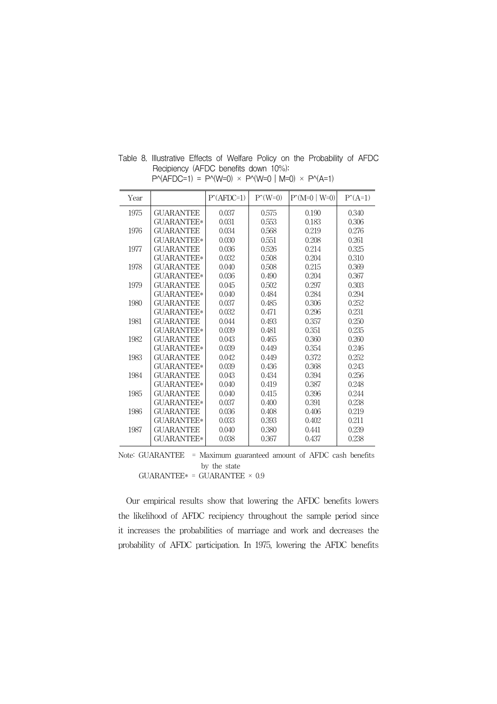| Year |                   | $P(AFDC=1)$ | $P^{\wedge}(W=0)$ | $P(M=0   W=0)$ | $P^{\uparrow}(A=1)$ |
|------|-------------------|-------------|-------------------|----------------|---------------------|
| 1975 | <b>GUARANTEE</b>  | 0.037       | 0.575             | 0.190          | 0.340               |
|      | <b>GUARANTEE*</b> | 0.031       | 0.553             | 0.183          | 0.306               |
| 1976 | <b>GUARANTEE</b>  | 0.034       | 0.568             | 0.219          | 0.276               |
|      | <b>GUARANTEE*</b> | 0.030       | 0.551             | 0.208          | 0.261               |
| 1977 | <b>GUARANTEE</b>  | 0.036       | 0.526             | 0.214          | 0.325               |
|      | <b>GUARANTEE*</b> | 0.032       | 0.508             | 0.204          | 0.310               |
| 1978 | <b>GUARANTEE</b>  | 0.040       | 0.508             | 0.215          | 0.369               |
|      | <b>GUARANTEE*</b> | 0.036       | 0.490             | 0.204          | 0.367               |
| 1979 | <b>GUARANTEE</b>  | 0.045       | 0.502             | 0.297          | 0.303               |
|      | <b>GUARANTEE*</b> | 0.040       | 0.484             | 0.284          | 0.294               |
| 1980 | <b>GUARANTEE</b>  | 0.037       | 0.485             | 0.306          | 0.252               |
|      | <b>GUARANTEE*</b> | 0.032       | 0.471             | 0.296          | 0.231               |
| 1981 | <b>GUARANTEE</b>  | 0.044       | 0.493             | 0.357          | 0.250               |
|      | <b>GUARANTEE*</b> | 0.039       | 0.481             | 0.351          | 0.235               |
| 1982 | <b>GUARANTEE</b>  | 0.043       | 0.465             | 0.360          | 0.260               |
|      | <b>GUARANTEE*</b> | 0.039       | 0.449             | 0.354          | 0.246               |
| 1983 | <b>GUARANTEE</b>  | 0.042       | 0.449             | 0.372          | 0.252               |
|      | <b>GUARANTEE*</b> | 0.039       | 0.436             | 0.368          | 0.243               |
| 1984 | <b>GUARANTEE</b>  | 0.043       | 0.434             | 0.394          | 0.256               |
|      | <b>GUARANTEE*</b> | 0.040       | 0.419             | 0.387          | 0.248               |
| 1985 | <b>GUARANTEE</b>  | 0.040       | 0.415             | 0.396          | 0.244               |
|      | <b>GUARANTEE*</b> | 0.037       | 0.400             | 0.391          | 0.238               |
| 1986 | <b>GUARANTEE</b>  | 0.036       | 0.408             | 0.406          | 0.219               |
|      | <b>GUARANTEE*</b> | 0.033       | 0.393             | 0.402          | 0.211               |
| 1987 | <b>GUARANTEE</b>  | 0.040       | 0.380             | 0.441          | 0.239               |
|      | <b>GUARANTEE*</b> | 0.038       | 0.367             | 0.437          | 0.238               |

Table 8. Illustrative Effects of Welfare Policy on the Probability of AFDC Recipiency (AFDC benefits down 10%):  $P^{\wedge}(AFDC=1) = P^{\wedge}(W=0) \times P^{\wedge}(W=0 | M=0) \times P^{\wedge}(A=1)$ 

Note: GUARANTEE = Maximum guaranteed amount of AFDC cash benefits by the state

<code>GUARANTEE\*</code> = <code>GUARANTEE</code>  $\times$   $0.9$ 

Our empirical results show that lowering the AFDC benefits lowers the likelihood of AFDC recipiency throughout the sample period since it increases the probabilities of marriage and work and decreases the probability of AFDC participation. In 1975, lowering the AFDC benefits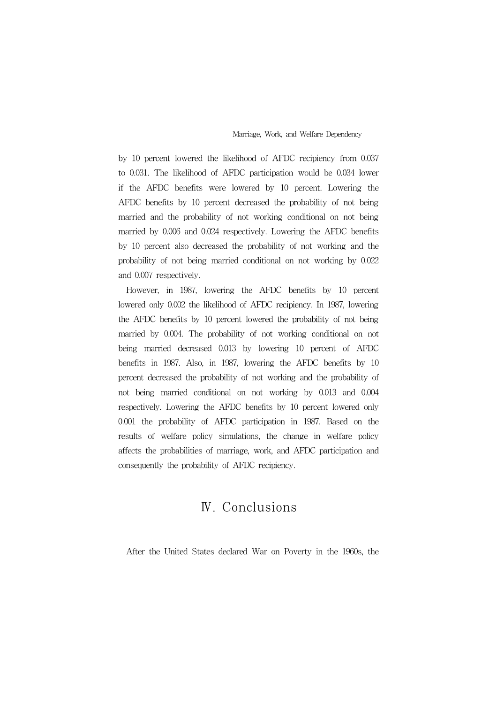by 10 percent lowered the likelihood of AFDC recipiency from 0.037 to 0.031. The likelihood of AFDC participation would be 0.034 lower if the AFDC benefits were lowered by 10 percent. Lowering the AFDC benefits by 10 percent decreased the probability of not being married and the probability of not working conditional on not being married by 0.006 and 0.024 respectively. Lowering the AFDC benefits by 10 percent also decreased the probability of not working and the probability of not being married conditional on not working by 0.022 and 0.007 respectively.

However, in 1987, lowering the AFDC benefits by 10 percent lowered only 0.002 the likelihood of AFDC recipiency. In 1987, lowering the AFDC benefits by 10 percent lowered the probability of not being married by 0.004. The probability of not working conditional on not being married decreased 0.013 by lowering 10 percent of AFDC benefits in 1987. Also, in 1987, lowering the AFDC benefits by 10 percent decreased the probability of not working and the probability of not being married conditional on not working by 0.013 and 0.004 respectively. Lowering the AFDC benefits by 10 percent lowered only 0.001 the probability of AFDC participation in 1987. Based on the results of welfare policy simulations, the change in welfare policy affects the probabilities of marriage, work, and AFDC participation and consequently the probability of AFDC recipiency.

# Ⅳ. Conclusions

After the United States declared War on Poverty in the 1960s, the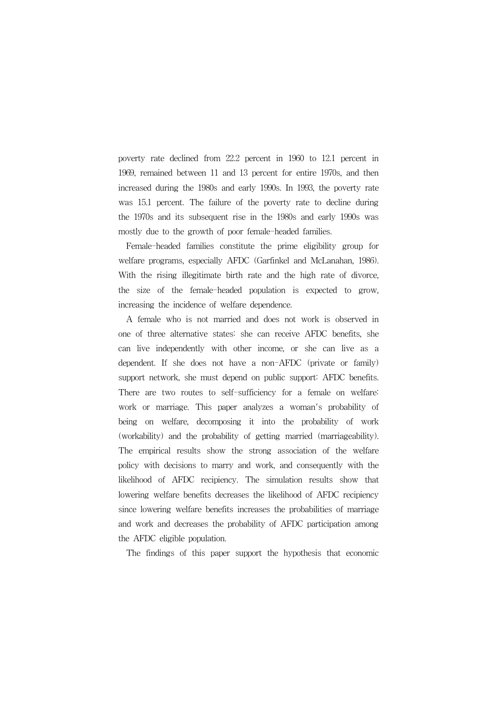poverty rate declined from 22.2 percent in 1960 to 12.1 percent in 1969, remained between 11 and 13 percent for entire 1970s, and then increased during the 1980s and early 1990s. In 1993, the poverty rate was 15.1 percent. The failure of the poverty rate to decline during the 1970s and its subsequent rise in the 1980s and early 1990s was mostly due to the growth of poor female-headed families.

Female-headed families constitute the prime eligibility group for welfare programs, especially AFDC (Garfinkel and McLanahan, 1986). With the rising illegitimate birth rate and the high rate of divorce, the size of the female-headed population is expected to grow, increasing the incidence of welfare dependence.

A female who is not married and does not work is observed in one of three alternative states: she can receive AFDC benefits, she can live independently with other income, or she can live as a dependent. If she does not have a non-AFDC (private or family) support network, she must depend on public support: AFDC benefits. There are two routes to self-sufficiency for a female on welfare: work or marriage. This paper analyzes a woman's probability of being on welfare, decomposing it into the probability of work (workability) and the probability of getting married (marriageability). The empirical results show the strong association of the welfare policy with decisions to marry and work, and consequently with the likelihood of AFDC recipiency. The simulation results show that lowering welfare benefits decreases the likelihood of AFDC recipiency since lowering welfare benefits increases the probabilities of marriage and work and decreases the probability of AFDC participation among the AFDC eligible population.

The findings of this paper support the hypothesis that economic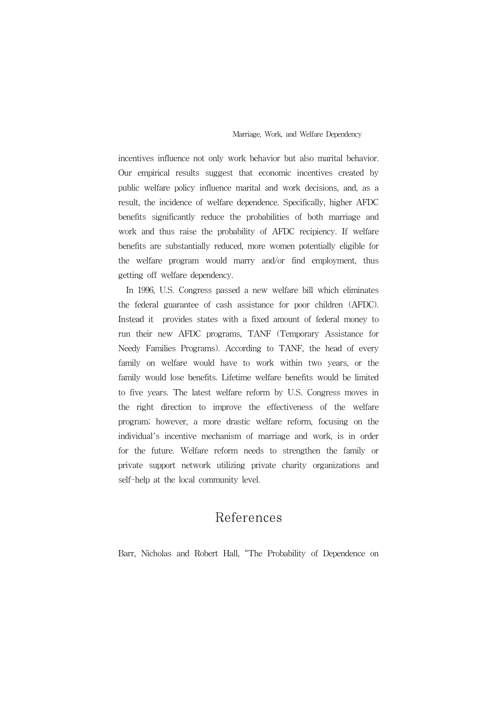incentives influence not only work behavior but also marital behavior. Our empirical results suggest that economic incentives created by public welfare policy influence marital and work decisions, and, as a result, the incidence of welfare dependence. Specifically, higher AFDC benefits significantly reduce the probabilities of both marriage and work and thus raise the probability of AFDC recipiency. If welfare benefits are substantially reduced, more women potentially eligible for the welfare program would marry and/or find employment, thus getting off welfare dependency.

In 1996, U.S. Congress passed a new welfare bill which eliminates the federal guarantee of cash assistance for poor children (AFDC). Instead it provides states with a fixed amount of federal money to run their new AFDC programs, TANF (Temporary Assistance for Needy Families Programs). According to TANF, the head of every family on welfare would have to work within two years, or the family would lose benefits. Lifetime welfare benefits would be limited to five years. The latest welfare reform by U.S. Congress moves in the right direction to improve the effectiveness of the welfare program; however, a more drastic welfare reform, focusing on the individual's incentive mechanism of marriage and work, is in order for the future. Welfare reform needs to strengthen the family or private support network utilizing private charity organizations and self-help at the local community level.

# References

Barr, Nicholas and Robert Hall, "The Probability of Dependence on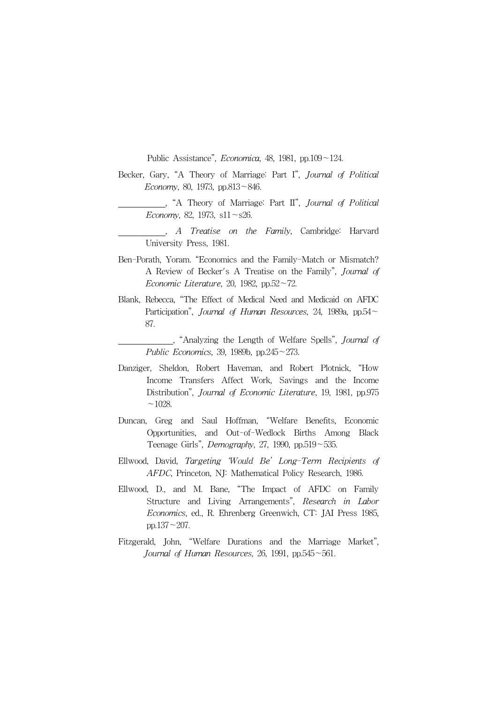Public Assistance", *Economica*, 48, 1981, pp.109~124.

- Becker, Gary, "A Theory of Marriage: Part I", Journal of Political Economy, 80, 1973, pp.813~846.
	- , "A Theory of Marriage: Part II", Journal of Political Economy, 82, 1973,  $s11 \sim s26$ .
	- , A Treatise on the Family, Cambridge: Harvard University Press, 1981.
- Ben-Porath, Yoram. "Economics and the Family-Match or Mismatch? A Review of Becker's A Treatise on the Family", Journal of Economic Literature, 20, 1982, pp.52 $\sim$ 72.
- Blank, Rebecca, "The Effect of Medical Need and Medicaid on AFDC Participation", Journal of Human Resources, 24, 1989a, pp.54 $\sim$ 87.

, "Analyzing the Length of Welfare Spells", Journal of Public Economics, 39, 1989b, pp.245~273.

- Danziger, Sheldon, Robert Haveman, and Robert Plotnick, "How Income Transfers Affect Work, Savings and the Income Distribution", Journal of Economic Literature, 19, 1981, pp.975  $~1028.$
- Duncan, Greg and Saul Hoffman, "Welfare Benefits, Economic Opportunities, and Out-of-Wedlock Births Among Black Teenage Girls", *Demography*, 27, 1990, pp.519 $\sim$ 535.
- Ellwood, David, Targeting 'Would Be' Long-Term Recipients of AFDC, Princeton, NJ: Mathematical Policy Research, 1986.
- Ellwood, D., and M. Bane, "The Impact of AFDC on Family Structure and Living Arrangements", Research in Labor Economics, ed., R. Ehrenberg Greenwich, CT: JAI Press 1985, pp.137~207.
- Fitzgerald, John, "Welfare Durations and the Marriage Market", Journal of Human Resources, 26, 1991, pp.545 $\sim$ 561.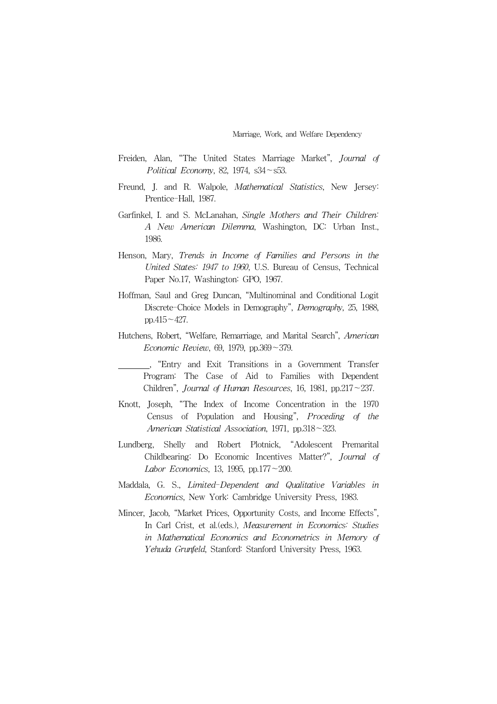- Freiden, Alan, "The United States Marriage Market", Journal of Political Economy, 82, 1974,  $s34 \sim s53$ .
- Freund, J. and R. Walpole, *Mathematical Statistics*, New Jersey: Prentice-Hall, 1987.
- Garfinkel, I. and S. McLanahan, Single Mothers and Their Children: A New American Dilemma, Washington, DC: Urban Inst., 1986.
- Henson, Mary, Trends in Income of Families and Persons in the United States: 1947 to 1960, U.S. Bureau of Census, Technical Paper No.17, Washington: GPO, 1967.
- Hoffman, Saul and Greg Duncan, "Multinominal and Conditional Logit Discrete-Choice Models in Demography", Demography, 25, 1988, pp.415 $\sim$ 427.
- Hutchens, Robert, "Welfare, Remarriage, and Marital Search", American Economic Review, 69, 1979, pp.369~379.
	- , "Entry and Exit Transitions in a Government Transfer Program: The Case of Aid to Families with Dependent Children", Journal of Human Resources, 16, 1981, pp.217 $\sim$ 237.
- Knott, Joseph, "The Index of Income Concentration in the 1970 Census of Population and Housing", Proceding of the American Statistical Association, 1971, pp.318~323.
- Lundberg, Shelly and Robert Plotnick, "Adolescent Premarital Childbearing: Do Economic Incentives Matter?", Journal of Labor Economics, 13, 1995, pp.177 $\sim$ 200.
- Maddala, G. S., Limited-Dependent and Qualitative Variables in Economics, New York: Cambridge University Press, 1983.
- Mincer, Jacob, "Market Prices, Opportunity Costs, and Income Effects", In Carl Crist, et al.(eds.), Measurement in Economics: Studies in Mathematical Economics and Econometrics in Memory of Yehuda Grunfeld, Stanford: Stanford University Press, 1963.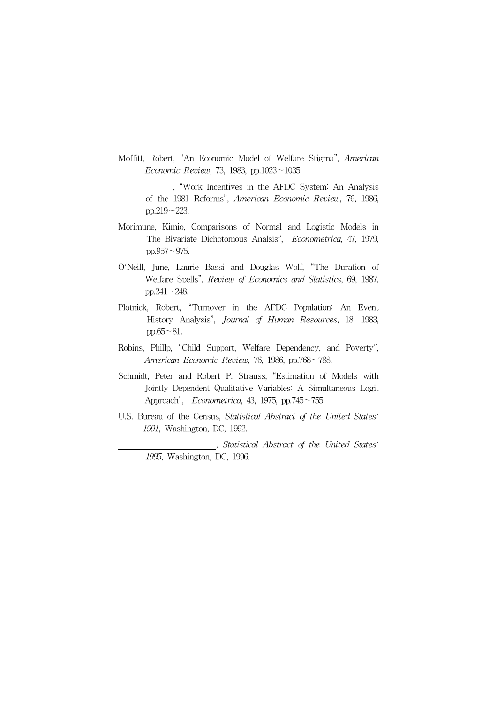Moffitt, Robert, "An Economic Model of Welfare Stigma", American Economic Review, 73, 1983, pp.1023~1035.

, "Work Incentives in the AFDC System: An Analysis of the 1981 Reforms", American Economic Review, 76, 1986, pp.219~223.

- Morimune, Kimio, Comparisons of Normal and Logistic Models in The Bivariate Dichotomous Analsis", Econometrica, 47, 1979, pp.957~975.
- O'Neill, June, Laurie Bassi and Douglas Wolf, "The Duration of Welfare Spells", Review of Economics and Statistics, 69, 1987, pp.241~248.
- Plotnick, Robert, "Turnover in the AFDC Population: An Event History Analysis", Journal of Human Resources, 18, 1983,  $pp.65~31.$
- Robins, Phillp, "Child Support, Welfare Dependency, and Poverty", American Economic Review, 76, 1986, pp.768~788.
- Schmidt, Peter and Robert P. Strauss, "Estimation of Models with Jointly Dependent Qualitative Variables: A Simultaneous Logit Approach", Econometrica, 43, 1975, pp.745~755.
- U.S. Bureau of the Census, Statistical Abstract of the United States: 1991, Washington, DC, 1992.

, Statistical Abstract of the United States: 1995, Washington, DC, 1996.